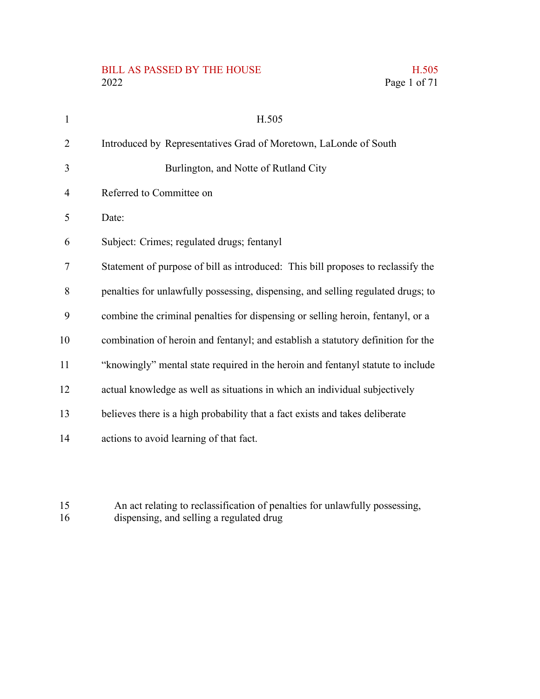# BILL AS PASSED BY THE HOUSE H.505<br>2022 Page 1 of 71

Page 1 of 71

| $\mathbf{1}$   | H.505                                                                            |
|----------------|----------------------------------------------------------------------------------|
| $\overline{2}$ | Introduced by Representatives Grad of Moretown, LaLonde of South                 |
| 3              | Burlington, and Notte of Rutland City                                            |
| $\overline{4}$ | Referred to Committee on                                                         |
| 5              | Date:                                                                            |
| 6              | Subject: Crimes; regulated drugs; fentanyl                                       |
| $\tau$         | Statement of purpose of bill as introduced: This bill proposes to reclassify the |
| 8              | penalties for unlawfully possessing, dispensing, and selling regulated drugs; to |
| 9              | combine the criminal penalties for dispensing or selling heroin, fentanyl, or a  |
| 10             | combination of heroin and fentanyl; and establish a statutory definition for the |
| 11             | "knowingly" mental state required in the heroin and fentanyl statute to include  |
| 12             | actual knowledge as well as situations in which an individual subjectively       |
| 13             | believes there is a high probability that a fact exists and takes deliberate     |
| 14             | actions to avoid learning of that fact.                                          |
|                |                                                                                  |

An act relating to reclassification of penalties for unlawfully possessing, dispensing, and selling a regulated drug 15 16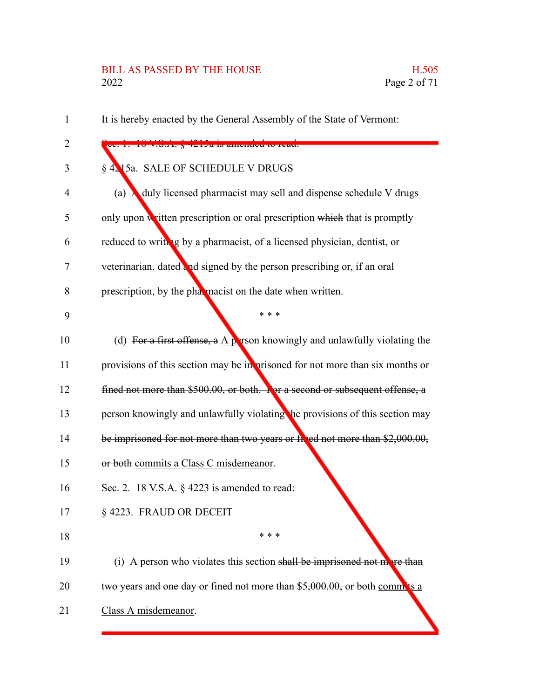#### BILL AS PASSED BY THE HOUSE H.505 2022 Page 2 of 71

It is hereby enacted by the General Assembly of the State of Vermont: Sec. 1. 18 V.S.A. § 4215a is amended to read: § 4215a. SALE OF SCHEDULE V DRUGS (a) A duly licensed pharmacist may sell and dispense schedule V drugs only upon written prescription or oral prescription which that is promptly reduced to writing by a pharmacist, of a licensed physician, dentist, or veterinarian, dated and signed by the person prescribing or, if an oral prescription, by the pharmacist on the date when written. \* \* \* (d) For a first offense, a A person knowingly and unlawfully violating the provisions of this section may be in prisoned for not more than six months or fined not more than \$500.00, or both. For a second or subsequent offense, a person knowingly and unlawfully violating the provisions of this section may be imprisoned for not more than two years or fined not more than \$2,000.00, or both commits a Class C misdemeanor. Sec. 2. 18 V.S.A. § 4223 is amended to read: § 4223. FRAUD OR DECEIT \* \* \* (i) A person who violates this section shall be imprisoned not more than two years and one day or fined not more than \$5,000.00, or both commits a Class A misdemeanor. 1 2 3 4 5 6 7 8 9 10 11 12 13 14 15 16 17 18 19 20 21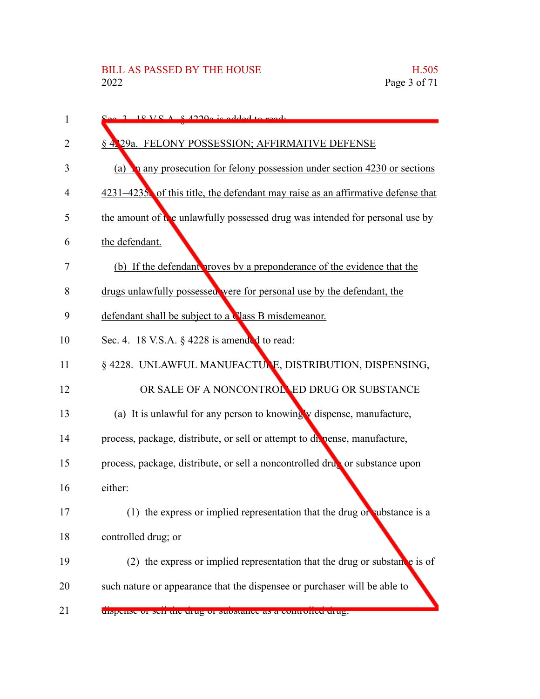| 1  | $S_{\alpha\alpha}$ 2 18 VC $\Lambda$ 8 12200 is added to read.                    |
|----|-----------------------------------------------------------------------------------|
| 2  | § 4.29a. FELONY POSSESSION; AFFIRMATIVE DEFENSE                                   |
| 3  | (a) <b>h</b> any prosecution for felony possession under section 4230 or sections |
| 4  | $4231-4235$ of this title, the defendant may raise as an affirmative defense that |
| 5  | the amount of the unlawfully possessed drug was intended for personal use by      |
| 6  | the defendant.                                                                    |
| 7  | (b) If the defendant proves by a preponderance of the evidence that the           |
| 8  | drugs unlawfully possessed were for personal use by the defendant, the            |
| 9  | defendant shall be subject to a Vlass B misdemeanor.                              |
| 10 | Sec. 4. 18 V.S.A. $\S$ 4228 is amended to read:                                   |
| 11 | § 4228. UNLAWFUL MANUFACTULE, DISTRIBUTION, DISPENSING,                           |
| 12 | OR SALE OF A NONCONTROLLED DRUG OR SUBSTANCE                                      |
| 13 | (a) It is unlawful for any person to knowing v dispense, manufacture,             |
| 14 | process, package, distribute, or sell or attempt to du pense, manufacture,        |
| 15 | process, package, distribute, or sell a noncontrolled drug or substance upon      |
| 16 | either:                                                                           |
| 17 | (1) the express or implied representation that the drug or substance is a         |
| 18 | controlled drug; or                                                               |
| 19 | (2) the express or implied representation that the drug or substance is of        |
| 20 | such nature or appearance that the dispensee or purchaser will be able to         |
| 21 | uispense of sen the urug of substance as a controlled urug.                       |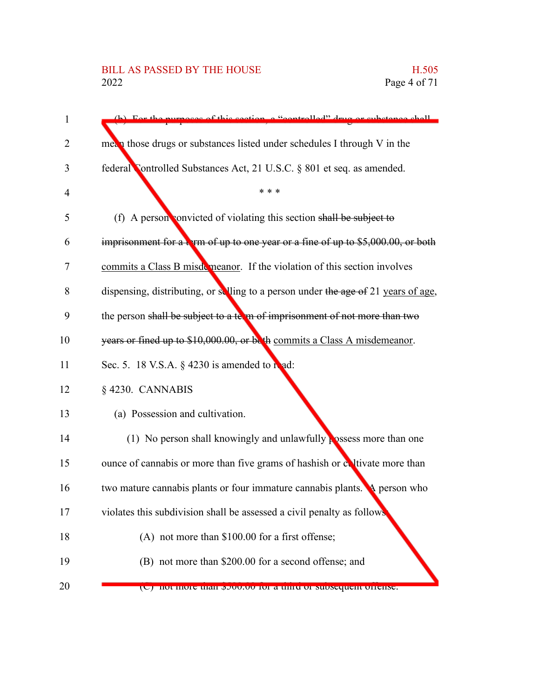## BILL AS PASSED BY THE HOUSE H.505<br>2022 Page 4 of 71

| 1  | (b) For the nurnaces of this section a "controlled" drug or substance shall        |
|----|------------------------------------------------------------------------------------|
| 2  | $me_{\alpha}$ those drugs or substances listed under schedules I through V in the  |
| 3  | federal Controlled Substances Act, 21 U.S.C. § 801 et seq. as amended.             |
| 4  | * * *                                                                              |
| 5  | (f) A person convicted of violating this section shall be subject to               |
| 6  | imprisonment for a term of up to one year or a fine of up to $$5,000.00$ , or both |
| 7  | commits a Class B misdemeanor. If the violation of this section involves           |
| 8  | dispensing, distributing, or selling to a person under the age of 21 years of age, |
| 9  | the person shall be subject to a term of imprisonment of not more than two         |
| 10 | years or fined up to \$10,000.00, or both commits a Class A misdemeanor.           |
| 11 | Sec. 5. 18 V.S.A. § 4230 is amended to read:                                       |
| 12 | §4230. CANNABIS                                                                    |
| 13 | (a) Possession and cultivation.                                                    |
| 14 | (1) No person shall knowingly and unlawfully possess more than one                 |
| 15 | ounce of cannabis or more than five grams of hashish or evitivate more than        |
| 16 | two mature cannabis plants or four immature cannabis plants. A person who          |
| 17 | violates this subdivision shall be assessed a civil penalty as follows             |
| 18 | (A) not more than \$100.00 for a first offense;                                    |
| 19 | (B) not more than \$200.00 for a second offense; and                               |
| 20 | (C) not more than powww for a time or subsequent oriense.                          |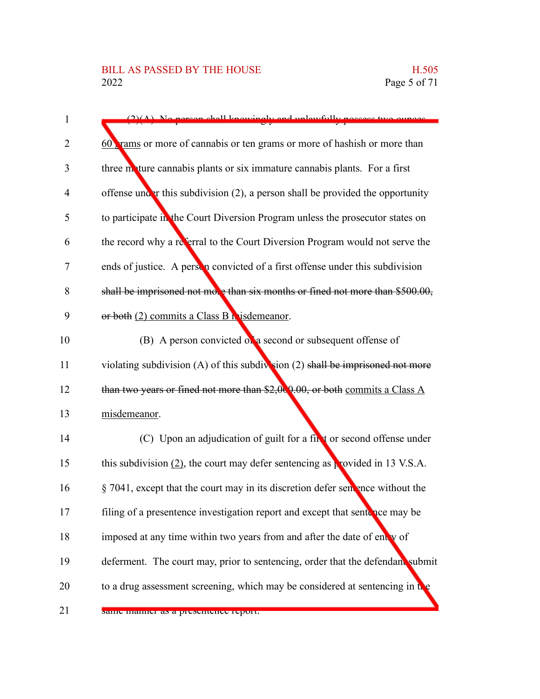| $\mathbf{1}$   | $(2)(\Lambda)$ . No person shall knowingly and unlawfully persons two queese.      |
|----------------|------------------------------------------------------------------------------------|
| $\overline{2}$ | 60 rams or more of cannabis or ten grams or more of hashish or more than           |
| 3              | three motture cannabis plants or six immature cannabis plants. For a first         |
| 4              | offense under this subdivision $(2)$ , a person shall be provided the opportunity  |
| 5              | to participate in the Court Diversion Program unless the prosecutor states on      |
| 6              | the record why a referral to the Court Diversion Program would not serve the       |
| 7              | ends of justice. A person convicted of a first offense under this subdivision      |
| 8              | shall be imprisoned not move than six months or fined not more than \$500.00,      |
| 9              | or both (2) commits a Class B h is demeanor.                                       |
| 10             | (B) A person convicted on a second or subsequent offense of                        |
| 11             | violating subdivision $(A)$ of this subdivision $(2)$ shall be imprisoned not more |
| 12             | than two years or fined not more than $$2,00,00$ , or both commits a Class A       |
| 13             | misdemeanor.                                                                       |
| 14             | (C) Upon an adjudication of guilt for a finit or second offense under              |
| 15             | this subdivision $(2)$ , the court may defer sentencing as provided in 13 V.S.A.   |
| 16             | $\S$ 7041, except that the court may in its discretion defer sentence without the  |
| 17             | filing of a presentence investigation report and except that sentence may be       |
| 18             | imposed at any time within two years from and after the date of entry of           |
| 19             | deferment. The court may, prior to sentencing, order that the defendant submit     |
| 20             | to a drug assessment screening, which may be considered at sentencing in the       |
| 21             | same manner as a presentence report.                                               |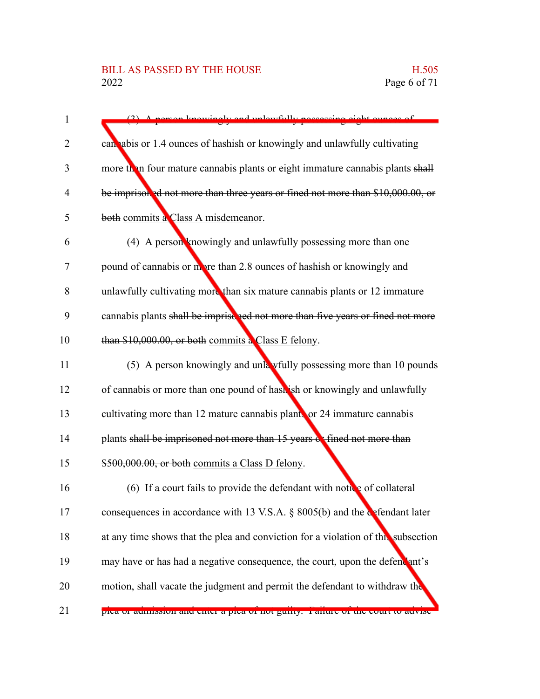## BILL AS PASSED BY THE HOUSE H.505<br>2022 Page 6 of 71

| $\mathbf{1}$   | A person knowingly and unlawfully persecuting eight ounces of                     |
|----------------|-----------------------------------------------------------------------------------|
| 2              | can abis or 1.4 ounces of hashish or knowingly and unlawfully cultivating         |
| 3              | more then four mature cannabis plants or eight immature cannabis plants shall     |
| $\overline{4}$ | be imprisoned not more than three years or fined not more than \$10,000.00, or    |
| 5              | both commits a Class A misdemeanor.                                               |
| 6              | (4) A person knowingly and unlawfully possessing more than one                    |
| 7              | pound of cannabis or more than 2.8 ounces of hashish or knowingly and             |
| 8              | unlawfully cultivating more than six mature cannabis plants or 12 immature        |
| 9              | cannabis plants shall be imprise ped not more than five years or fined not more   |
| 10             | than \$10,000.00, or both commits a Class E felony.                               |
| 11             | (5) A person knowingly and unla wfully possessing more than 10 pounds             |
| 12             | of cannabis or more than one pound of hash ish or knowingly and unlawfully        |
| 13             | cultivating more than 12 mature cannabis plants or 24 immature cannabis           |
| 14             | plants shall be imprisoned not more than 15 years cotfined not more than          |
| 15             | \$500,000.00, or both commits a Class D felony.                                   |
| 16             | (6) If a court fails to provide the defendant with notice of collateral           |
| 17             | consequences in accordance with 13 V.S.A. § 8005(b) and the defendant later       |
| 18             | at any time shows that the plea and conviction for a violation of this subsection |
| 19             | may have or has had a negative consequence, the court, upon the defendant's       |
| 20             | motion, shall vacate the judgment and permit the defendant to withdraw the        |
| 21             | pica or aumission and chief a pica or not guitty. Tanure or the court to advise   |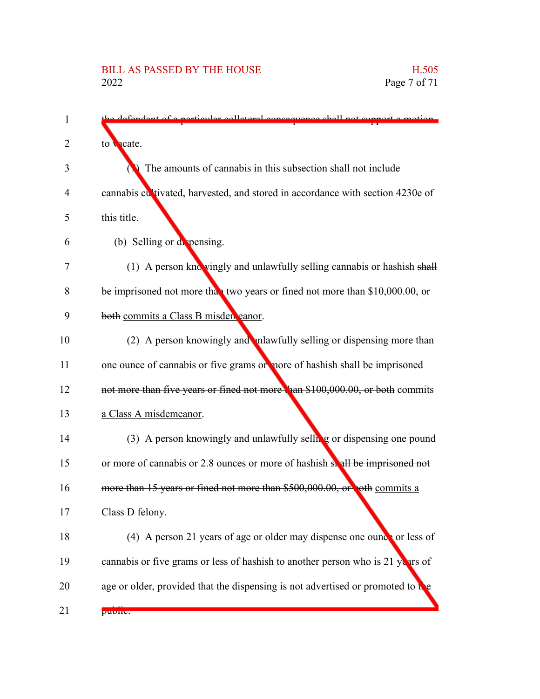| 1  | defendent of a perticular colleteral consequence shall not support a motion     |
|----|---------------------------------------------------------------------------------|
| 2  | to vacate.                                                                      |
| 3  | The amounts of cannabis in this subsection shall not include                    |
| 4  | cannabis cultivated, harvested, and stored in accordance with section 4230e of  |
| 5  | this title.                                                                     |
| 6  | (b) Selling or depensing.                                                       |
| 7  | (1) A person knowingly and unlawfully selling cannabis or hashish shall         |
| 8  | be imprisoned not more that two years or fined not more than \$10,000.00, or    |
| 9  | both commits a Class B misden eanor.                                            |
| 10 | (2) A person knowingly and mallupulary selling or dispensing more than          |
| 11 | one ounce of cannabis or five grams or nore of hashish shall be imprisoned      |
| 12 | not more than five years or fined not more than \$100,000.00, or both commits   |
| 13 | a Class A misdemeanor.                                                          |
| 14 | (3) A person knowingly and unlawfully selling or dispensing one pound           |
| 15 | or more of cannabis or 2.8 ounces or more of hashish shall be imprisoned not    |
| 16 | more than 15 years or fined not more than \$500,000.00, or oth commits a        |
| 17 | Class D felony.                                                                 |
| 18 | (4) A person 21 years of age or older may dispense one ounce or less of         |
| 19 | cannabis or five grams or less of hashish to another person who is 21 years of  |
| 20 | age or older, provided that the dispensing is not advertised or promoted to the |
| 21 | puonc.                                                                          |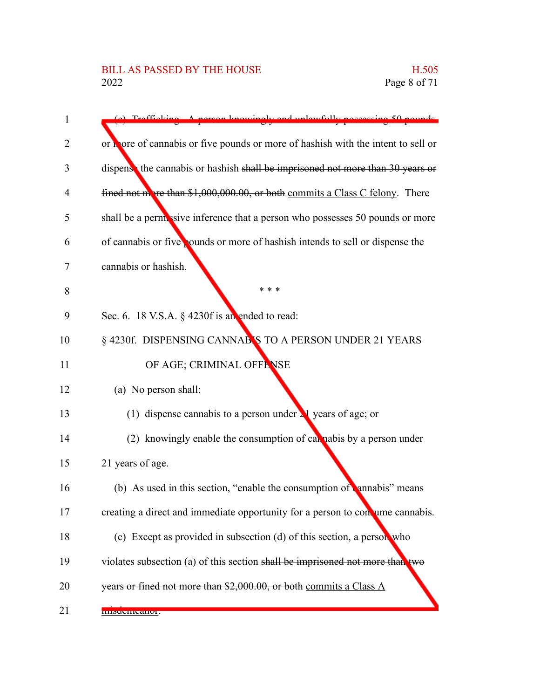| 1  | sergen knowingly and unlewfully poccessing 50 pounds.<br>Trafficki                |
|----|-----------------------------------------------------------------------------------|
| 2  | or thore of cannabis or five pounds or more of hashish with the intent to sell or |
|    |                                                                                   |
| 3  | dispense the cannabis or hashish shall be imprisoned not more than 30 years or    |
| 4  | fined not more than \$1,000,000.00, or both commits a Class C felony. There       |
| 5  | shall be a permissive inference that a person who possesses 50 pounds or more     |
| 6  | of cannabis or five pounds or more of hashish intends to sell or dispense the     |
| 7  | cannabis or hashish.                                                              |
| 8  | * * *                                                                             |
| 9  | Sec. 6. 18 V.S.A. $\S$ 4230f is an ended to read:                                 |
| 10 | § 4230f. DISPENSING CANNAB'S TO A PERSON UNDER 21 YEARS                           |
| 11 | OF AGE; CRIMINAL OFFENSE                                                          |
| 12 | (a) No person shall:                                                              |
| 13 | (1) dispense cannabis to a person under $\lambda$ years of age; or                |
| 14 | (2) knowingly enable the consumption of call nabis by a person under              |
| 15 | 21 years of age.                                                                  |
| 16 | (b) As used in this section, "enable the consumption of annabis" means            |
| 17 | creating a direct and immediate opportunity for a person to concume cannabis.     |
| 18 | (c) Except as provided in subsection (d) of this section, a person who            |
| 19 | violates subsection (a) of this section shall be imprisoned not more than two     |
| 20 | years or fined not more than \$2,000.00, or both commits a Class A                |
| 21 | пимение апон.                                                                     |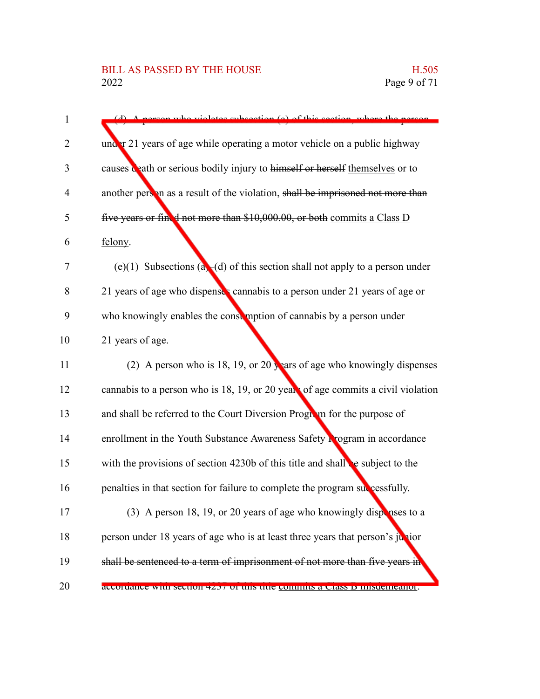| 1              | who violates subsection (a) of this section, where the negative                  |
|----------------|----------------------------------------------------------------------------------|
| 2              | under 21 years of age while operating a motor vehicle on a public highway        |
| 3              | causes ceath or serious bodily injury to himself or herself themselves or to     |
| $\overline{4}$ | another person as a result of the violation, shall be imprisoned not more than   |
| 5              | five years or fined not more than \$10,000.00, or both commits a Class D         |
| 6              | felony.                                                                          |
| 7              | (e)(1) Subsections (a)-(d) of this section shall not apply to a person under     |
| 8              | 21 years of age who dispenses cannabis to a person under 21 years of age or      |
| 9              | who knowingly enables the constraption of cannabis by a person under             |
| 10             | 21 years of age.                                                                 |
| 11             | (2) A person who is 18, 19, or 20 years of age who knowingly dispenses           |
| 12             | cannabis to a person who is 18, 19, or 20 years of age commits a civil violation |
| 13             | and shall be referred to the Court Diversion Program for the purpose of          |
| 14             | enrollment in the Youth Substance Awareness Safety Rrogram in accordance         |
| 15             | with the provisions of section $4230b$ of this title and shall be subject to the |
| 16             | penalties in that section for failure to complete the program successfully.      |
| 17             | (3) A person 18, 19, or 20 years of age who knowingly dispenses to a             |
| 18             | person under 18 years of age who is at least three years that person's junior    |
| 19             | shall be sentenced to a term of imprisonment of not more than five years in      |
| 20             | accordance with secuon 4237 of this thie committs a Class D misucineation.       |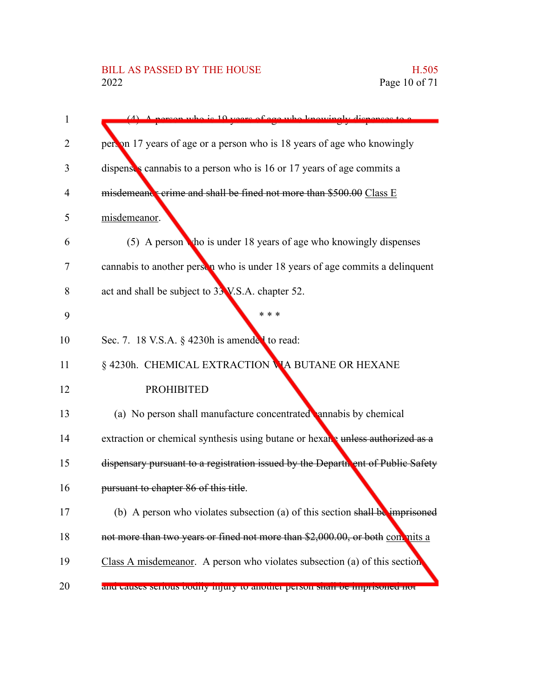| $\mathbf{1}$ | person who is 10 years of ago who knowingly dispense                            |
|--------------|---------------------------------------------------------------------------------|
| 2            | person 17 years of age or a person who is 18 years of age who knowingly         |
| 3            | dispenses cannabis to a person who is 16 or 17 years of age commits a           |
| 4            | misdemeand: crime and shall be fined not more than \$500.00 Class E             |
| 5            | misdemeanor.                                                                    |
| 6            | (5) A person tho is under 18 years of age who knowingly dispenses               |
| 7            | cannabis to another person who is under 18 years of age commits a delinquent    |
| 8            | act and shall be subject to 33 V.S.A. chapter 52.                               |
| 9            | * * *                                                                           |
| 10           | Sec. 7. 18 V.S.A. § 4230h is amended to read:                                   |
| 11           | § 4230h. CHEMICAL EXTRACTION VIA BUTANE OR HEXANE                               |
| 12           | <b>PROHIBITED</b>                                                               |
| 13           | (a) No person shall manufacture concentrated annabis by chemical                |
| 14           | extraction or chemical synthesis using butane or hexang unless authorized as a  |
| 15           | dispensary pursuant to a registration issued by the Department of Public Safety |
| 16           | pursuant to chapter 86 of this title.                                           |
| 17           | (b) A person who violates subsection (a) of this section shall be imprisoned    |
| 18           | not more than two years or fined not more than \$2,000.00, or both con nits a   |
| 19           | Class A misdemeanor. A person who violates subsection (a) of this section       |
| 20           | and causes serious bounty infury to another person share be imprisoned not      |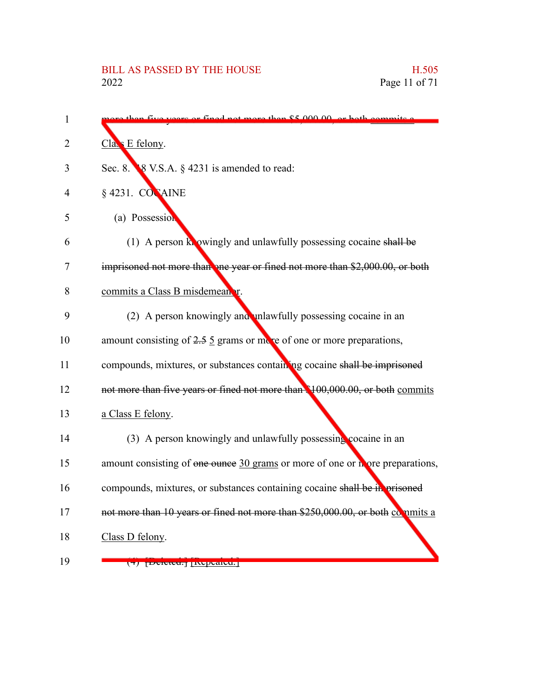| 1  | $d$ not more than $$500000$ or be                                                   |
|----|-------------------------------------------------------------------------------------|
| 2  | Class E felony.                                                                     |
| 3  | Sec. 8. $\&$ 8 V.S.A. $\S$ 4231 is amended to read:                                 |
| 4  | $§$ 4231. CONAINE                                                                   |
| 5  | (a) Possession                                                                      |
| 6  | (1) A person knowingly and unlawfully possessing cocaine shall be                   |
| 7  | imprisoned not more than one year or fined not more than \$2,000.00, or both        |
| 8  | commits a Class B misdemeanor.                                                      |
| 9  | (2) A person knowingly and unlawfully possessing cocaine in an                      |
| 10 | amount consisting of $2.5 \underline{5}$ grams or move of one or more preparations, |
| 11 | compounds, mixtures, or substances containing cocaine shall be imprisoned           |
| 12 | not more than five years or fined not more than \$100,000.00, or both commits       |
| 13 | a Class E felony.                                                                   |
| 14 | (3) A person knowingly and unlawfully possessing cocaine in an                      |
| 15 | amount consisting of one ounce 30 grams or more of one or more preparations,        |
| 16 | compounds, mixtures, or substances containing cocaine shall be in prisoned          |
| 17 | not more than 10 years or fined not more than \$250,000.00, or both commits a       |
| 18 | Class D felony.                                                                     |
| 19 | ( <del>1</del> ) potttett, pepearen.                                                |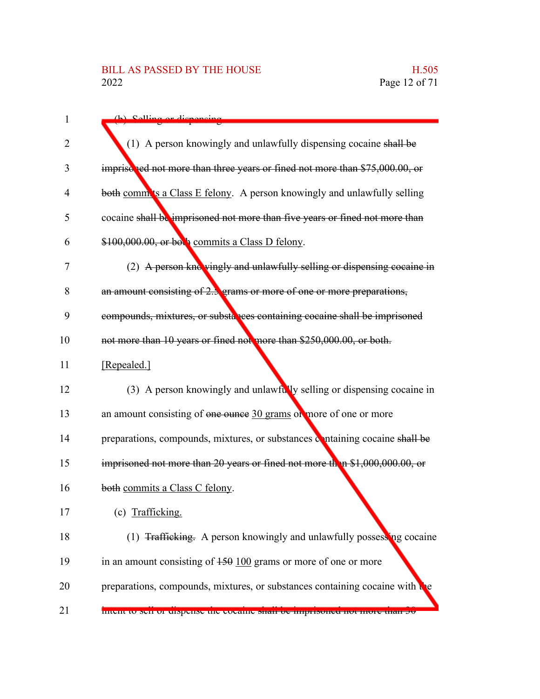# BILL AS PASSED BY THE HOUSE H.505<br>2022 Page 12 of 71

| $\mathbf{1}$   | (h) Solling or disponsing                                                        |
|----------------|----------------------------------------------------------------------------------|
| 2              | (1) A person knowingly and unlawfully dispensing cocaine shall be                |
| 3              | imprisched not more than three years or fined not more than \$75,000.00, or      |
| $\overline{4}$ | both comm'ts a Class E felony. A person knowingly and unlawfully selling         |
| 5              | cocaine shall be imprisoned not more than five years or fined not more than      |
| 6              | \$100,000.00, or both commits a Class D felony.                                  |
| 7              | (2) A person knowingly and unlawfully selling or dispensing cocaine in           |
| 8              | an amount consisting of 2.3 grams or more of one or more preparations,           |
| 9              | compounds, mixtures, or substances containing cocaine shall be imprisoned        |
| 10             | not more than 10 years or fined not more than \$250,000.00, or both.             |
| 11             | [Repealed.]                                                                      |
| 12             | (3) A person knowingly and unlawfully selling or dispensing cocaine in           |
| 13             | an amount consisting of one ounce 30 grams of more of one or more                |
| 14             | preparations, compounds, mixtures, or substances containing cocaine shall be     |
| 15             | imprisoned not more than 20 years or fined not more than \$1,000,000.00, or      |
| 16             | both commits a Class C felony.                                                   |
| 17             | (c) Trafficking.                                                                 |
| 18             | (1) <del>Trafficking.</del> A person knowingly and unlawfully possessing cocaine |
| 19             | in an amount consisting of $150 \underline{100}$ grams or more of one or more    |
| 20             | preparations, compounds, mixtures, or substances containing cocaine with the     |
| 21             | mient to sen or uispense the cocame sharr or imprisoned not more than 50         |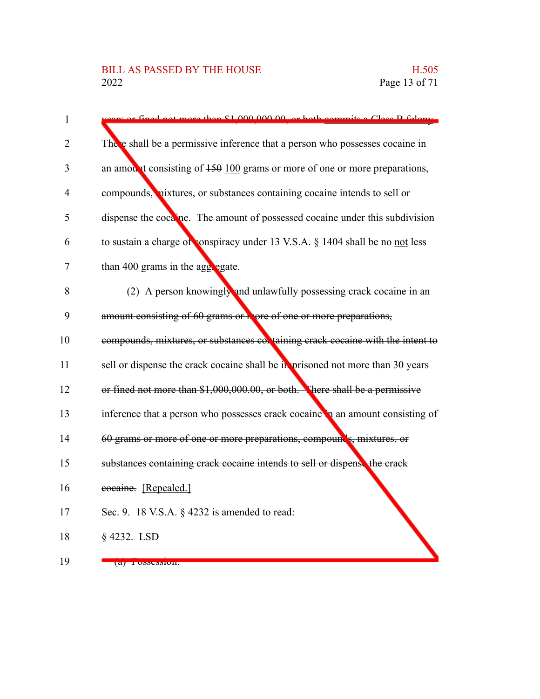| $\mathbf{1}$   | not more than \$1,000,000,00, or both com-<br>$\frac{1}{10}$ $\alpha$ $\frac{1}{20}$ $\frac{1}{20}$ $\frac{1}{20}$ |
|----------------|--------------------------------------------------------------------------------------------------------------------|
| 2              | There shall be a permissive inference that a person who possesses cocaine in                                       |
| 3              | an amount consisting of $450\,100$ grams or more of one or more preparations,                                      |
| $\overline{4}$ | compounds, nixtures, or substances containing cocaine intends to sell or                                           |
| 5              | dispense the cocaine. The amount of possessed cocaine under this subdivision                                       |
| 6              | to sustain a charge of conspiracy under 13 V.S.A. § 1404 shall be no not less                                      |
| 7              | than 400 grams in the aggregate.                                                                                   |
| 8              | (2) A person knowingly and unlawfully possessing crack cocaine in an                                               |
| 9              | amount consisting of 60 grams or a ore of one or more preparations,                                                |
| 10             | compounds, mixtures, or substances col taining crack cocaine with the intent to                                    |
| 11             | sell or dispense the crack cocaine shall be in prisoned not more than 30 years                                     |
| 12             | or fined not more than \$1,000,000.00, or both. There shall be a permissive                                        |
| 13             | inference that a person who possesses crack cocaine in an amount consisting of                                     |
| 14             | 60 grams or more of one or more preparations, compounds, mixtures, or                                              |
| 15             | substances containing crack cocaine intends to sell or dispense the crack                                          |
| 16             | cocaine. [Repealed.]                                                                                               |
| 17             | Sec. 9. 18 V.S.A. § 4232 is amended to read:                                                                       |
| 18             | $§$ 4232. LSD                                                                                                      |
| 19             | $\left( a\right)$ T USSUSSIUII.                                                                                    |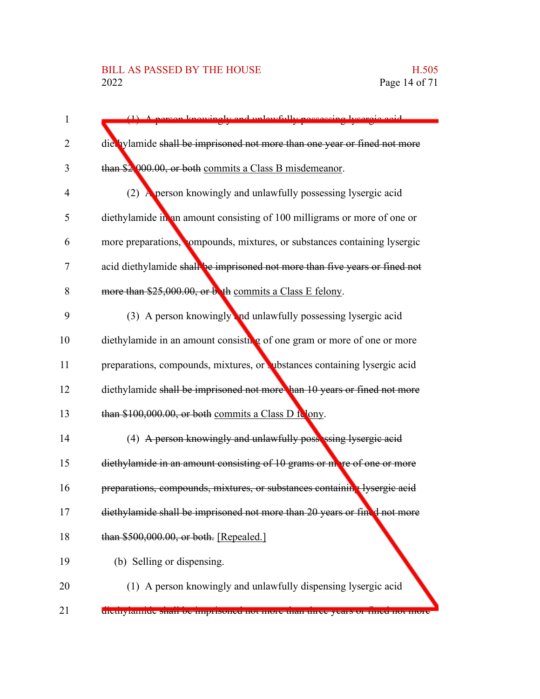### BILL AS PASSED BY THE HOUSE H.505<br>2022 Page 14 of 71

| $\mathbf{1}$   | A person knowingly and unlawfully possessing lysergie acid                         |
|----------------|------------------------------------------------------------------------------------|
| $\overline{2}$ | diet ylamide shall be imprisoned not more than one year or fined not more          |
| 3              | than \$2,000.00, or both commits a Class B misdemeanor.                            |
| 4              | (2) A person knowingly and unlawfully possessing lysergic acid                     |
| 5              | diethylamide in an amount consisting of 100 milligrams or more of one or           |
| 6              | more preparations, compounds, mixtures, or substances containing lysergic          |
| 7              | acid diethylamide shall be imprisoned not more than five years or fined not        |
| 8              | more than \$25,000.00, or both commits a Class E felony.                           |
| 9              | (3) A person knowingly and unlawfully possessing lysergic acid                     |
| 10             | diethylamide in an amount consisting of one gram or more of one or more            |
| 11             | preparations, compounds, mixtures, or vubstances containing lysergic acid          |
| 12             | diethylamide shall be imprisoned not more han 10 years or fined not more           |
| 13             | than \$100,000.00, or both commits a Class D folony.                               |
| 14             | (4) A person knowingly and unlawfully possessing lysergic acid                     |
| 15             | diethylamide in an amount consisting of 10 grams or more of one or more            |
| 16             | preparations, compounds, mixtures, or substances containing lysergic acid          |
| 17             | diethylamide shall be imprisoned not more than 20 years or fined not more          |
| 18             | than \$500,000.00, or both. [Repealed.]                                            |
| 19             | (b) Selling or dispensing.                                                         |
| 20             | (1) A person knowingly and unlawfully dispensing lysergic acid                     |
| 21             | <u>uicuryiannuc shan-oc imprisoned nor more than uiree years or niied nor more</u> |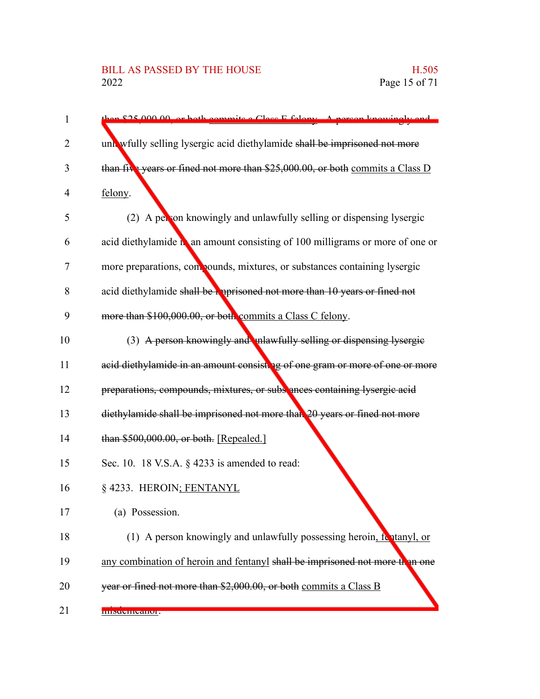#### BILL AS PASSED BY THE HOUSE H.505<br>2022 Page 15 of 71

| $\mathbf{1}$ | on \$25,000,00, or both commits a Class E folgou. A person knowingly and      |
|--------------|-------------------------------------------------------------------------------|
| 2            | unlawfully selling lysergic acid diethylamide shall be imprisoned not more    |
| 3            | than five years or fined not more than \$25,000.00, or both commits a Class D |
| 4            | felony.                                                                       |
| 5            | A person knowingly and unlawfully selling or dispensing lysergic<br>(2)       |
| 6            | acid diethylamide na amount consisting of 100 milligrams or more of one or    |
| 7            | more preparations, compounds, mixtures, or substances containing lysergic     |
| 8            | acid diethylamide shall be apprisoned not more than 10 years or fined not     |
| 9            | more than \$100,000.00, or both commits a Class C felony.                     |
| 10           | (3) A person knowingly and malawfully selling or dispensing lysergie          |
| 11           | acid diethylamide in an amount consisting of one gram or more of one or more  |
| 12           | preparations, compounds, mixtures, or subs ances containing lysergic acid     |
| 13           | diethylamide shall be imprisoned not more than 20 years or fined not more     |
| 14           | than \$500,000.00, or both. [Repealed.]                                       |
| 15           | Sec. 10. 18 V.S.A. § 4233 is amended to read:                                 |
| 16           | § 4233. HEROIN; FENTANYL                                                      |
| 17           | (a) Possession.                                                               |
| 18           | (1) A person knowingly and unlawfully possessing heroin, fontanyl, or         |
| 19           | any combination of heroin and fentanyl shall be imprisoned not more than one  |
| 20           | year or fined not more than \$2,000.00, or both commits a Class B             |
| 21           | пимение апон.                                                                 |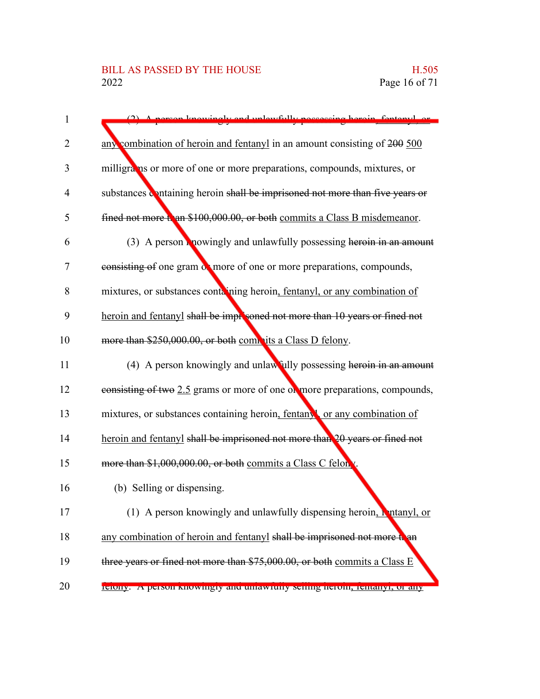| 1              | rean travengly and unlawfully poesessing heroin fentanyl or                  |
|----------------|------------------------------------------------------------------------------|
| 2              | any combination of heroin and fentanyl in an amount consisting of 200 500    |
| 3              | milligrams or more of one or more preparations, compounds, mixtures, or      |
| $\overline{4}$ | substances containing heroin shall be imprisoned not more than five years or |
| 5              | fined not more than \$100,000.00, or both commits a Class B misdemeanor.     |
| 6              | (3) A person <b>R</b> nowingly and unlawfully possessing heroin in an amount |
| 7              | consisting of one gram of more of one or more preparations, compounds,       |
| 8              | mixtures, or substances containing heroin, fentanyl, or any combination of   |
| 9              | heroin and fentanyl shall be improsoned not more than 10 years or fined not  |
| 10             | more than \$250,000.00, or both complits a Class D felony.                   |
| 11             | (4) A person knowingly and unlawfully possessing heroin in an amount         |
| 12             | consisting of two 2.5 grams or more of one or more preparations, compounds,  |
| 13             | mixtures, or substances containing heroin, fentany or any combination of     |
| 14             | heroin and fentanyl shall be imprisoned not more than 20 years or fined not  |
| 15             | more than \$1,000,000.00, or both commits a Class C felon.                   |
| 16             | (b) Selling or dispensing.                                                   |
| 17             | (1) A person knowingly and unlawfully dispensing heroin, <b>N</b> ntanyl, or |
| 18             | any combination of heroin and fentanyl shall be imprisoned not more to an    |
| 19             | three years or fined not more than \$75,000.00, or both commits a Class E    |
| 20             | reforty. A person knowingly and unlawfully seming nefolif, femanyi, or any   |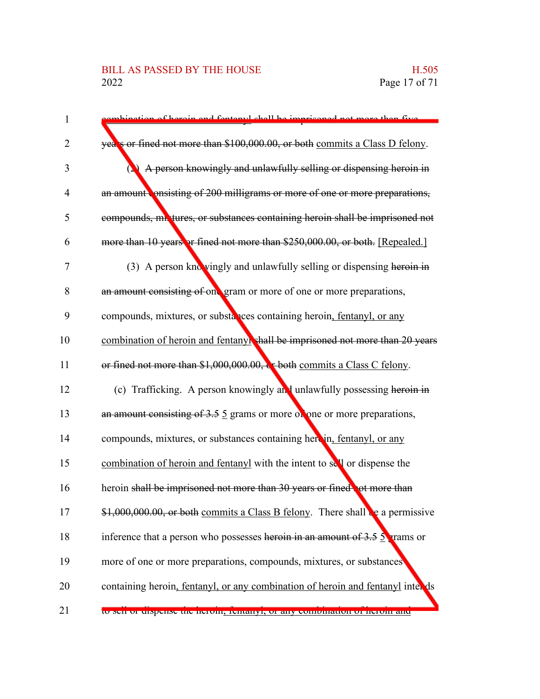#### BILL AS PASSED BY THE HOUSE H.505<br>2022 Page 17 of 71

| $\mathbf{1}$   | tion of beroin and fentonyl shall be imprisoned not more than five                     |
|----------------|----------------------------------------------------------------------------------------|
| $\overline{2}$ | years or fined not more than \$100,000.00, or both commits a Class D felony.           |
| 3              | A person knowingly and unlawfully selling or dispensing heroin in                      |
| $\overline{4}$ | an amount onsisting of 200 milligrams or more of one or more preparations,             |
| 5              | compounds, mixtures, or substances containing heroin shall be imprisoned not           |
| 6              | more than 10 years or fined not more than \$250,000.00, or both. [Repealed.]           |
| $\tau$         | (3) A person knowingly and unlawfully selling or dispensing heroin in                  |
| 8              | an amount consisting of one gram or more of one or more preparations,                  |
| 9              | compounds, mixtures, or substances containing heroin, fentanyl, or any                 |
| 10             | combination of heroin and fentanyl shall be imprisoned not more than 20 years          |
| 11             | or fined not more than \$1,000,000.00, & both commits a Class C felony.                |
| 12             | (c) Trafficking. A person knowingly and unlawfully possessing heroin in                |
| 13             | an amount consisting of $3.5 \, 5$ grams or more of one or more preparations,          |
| 14             | compounds, mixtures, or substances containing herein, fentanyl, or any                 |
| 15             | combination of heroin and fentanyl with the intent to sell or dispense the             |
| 16             | heroin shall be imprisoned not more than 30 years or fined, ot more than               |
| 17             | \$1,000,000.00, or both commits a Class B felony. There shall be a permissive          |
| 18             | inference that a person who possesses heroin in an amount of $3.5 \frac{5}{2}$ rams or |
| 19             | more of one or more preparations, compounds, mixtures, or substances                   |
| 20             | containing heroin, fentanyl, or any combination of heroin and fentanyl inter ds        |
| 21             | to sen or enspense the neroni, remainyr, or any comomation or nerom and                |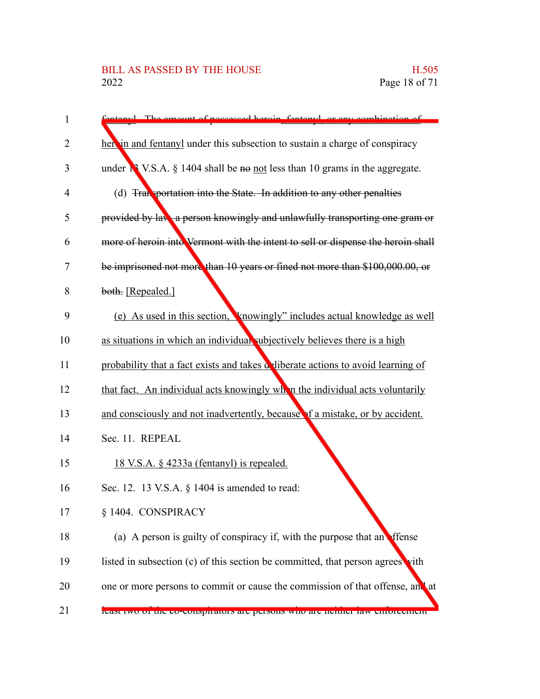### BILL AS PASSED BY THE HOUSE H.505<br>2022 Page 18 of 71

| $\mathbf{1}$   | topyl. The emount of possessed began fontanyl or eny combination of                     |
|----------------|-----------------------------------------------------------------------------------------|
| $\overline{2}$ | here in and fentanyl under this subsection to sustain a charge of conspiracy            |
| 3              | under $\mathbb{R}^3$ V.S.A. § 1404 shall be no not less than 10 grams in the aggregate. |
| $\overline{4}$ | (d) Transportation into the State. In addition to any other penalties                   |
| 5              | provided by law, a person knowingly and unlawfully transporting one gram or             |
| 6              | more of heroin into Vermont with the intent to sell or dispense the heroin shall        |
| 7              | be imprisoned not more than 10 years or fined not more than \$100,000.00, or            |
| 8              | both. [Repealed.]                                                                       |
| 9              | (e) As used in this section, <b>\'</b> \throwingly'' includes actual knowledge as well  |
| 10             | as situations in which an individual subjectively believes there is a high              |
| 11             | probability that a fact exists and takes deliberate actions to avoid learning of        |
| 12             | that fact. An individual acts knowingly when the individual acts voluntarily            |
| 13             | and consciously and not inadvertently, because of a mistake, or by accident.            |
| 14             | Sec. 11. REPEAL                                                                         |
| 15             | <u>18 V.S.A. § 4233a (fentanyl) is repealed.</u>                                        |
| 16             | Sec. 12. 13 V.S.A. § 1404 is amended to read:                                           |
| 17             | § 1404. CONSPIRACY                                                                      |
| 18             | (a) A person is guilty of conspiracy if, with the purpose that an effense               |
| 19             | listed in subsection (c) of this section be committed, that person agrees vith          |
| 20             | one or more persons to commit or cause the commission of that offense, and at           |
| 21             | icast two of the co-conspirators are persons who are neutrer faw emoreement             |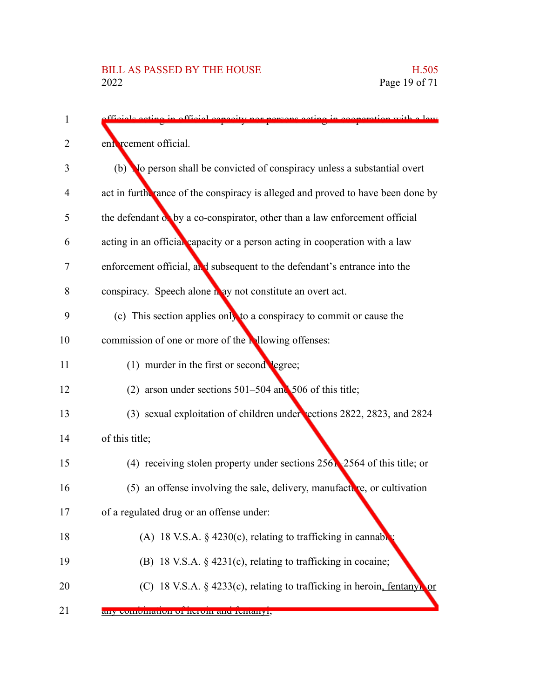| $\mathbf{1}$ | in official conseity nor persons acting in cooperation with a law               |
|--------------|---------------------------------------------------------------------------------|
| 2            | ent reement official.                                                           |
| 3            | (b) No person shall be convicted of conspiracy unless a substantial overt       |
| 4            | act in furth rance of the conspiracy is alleged and proved to have been done by |
| 5            | the defendant of by a co-conspirator, other than a law enforcement official     |
| 6            | acting in an official capacity or a person acting in cooperation with a law     |
| 7            | enforcement official, and subsequent to the defendant's entrance into the       |
| 8            | conspiracy. Speech alone n ay not constitute an overt act.                      |
| 9            | (c) This section applies only to a conspiracy to commit or cause the            |
| 10           | commission of one or more of the individual offenses:                           |
| 11           | (1) murder in the first or second legree;                                       |
| 12           | (2) arson under sections $501-504$ and $506$ of this title;                     |
| 13           | (3) sexual exploitation of children under sections 2822, 2823, and 2824         |
| 14           | of this title;                                                                  |
| 15           | (4) receiving stolen property under sections $256$ , $2564$ of this title; or   |
| 16           | (5) an offense involving the sale, delivery, manufacture, or cultivation        |
| 17           | of a regulated drug or an offense under:                                        |
| 18           | (A) 18 V.S.A. $\S$ 4230(c), relating to trafficking in cannable                 |
| 19           | (B) 18 V.S.A. § 4231(c), relating to trafficking in cocaine;                    |
| 20           | (C) 18 V.S.A. § 4233(c), relating to trafficking in heroin, fentanyl or         |
|              |                                                                                 |

any combination of heroin and femanyl, 21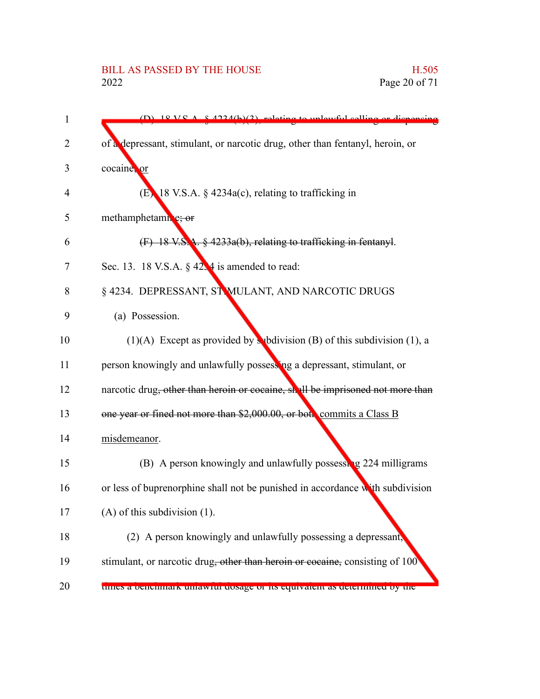# BILL AS PASSED BY THE HOUSE H.505<br>2022 Page 20 of 71

| 1  | $(D)$ 18 V C A $\leq$ $(224/h)(2)$ relating to unlawful calling or dispensing  |
|----|--------------------------------------------------------------------------------|
| 2  | of a depressant, stimulant, or narcotic drug, other than fentanyl, heroin, or  |
| 3  | cocaine, or                                                                    |
| 4  | $(E)$ 18 V.S.A. § 4234a(c), relating to trafficking in                         |
| 5  | methamphetamine; or                                                            |
| 6  | $(F)$ 18 V.S.A. $\frac{6}{5}$ 4233a(b), relating to trafficking in fentanyl.   |
| 7  | Sec. 13. 18 V.S.A. $\S$ 42.4 is amended to read:                               |
| 8  | § 4234. DEPRESSANT, ST MULANT, AND NARCOTIC DRUGS                              |
| 9  | (a) Possession.                                                                |
| 10 | (1)(A) Except as provided by subdivision (B) of this subdivision (1), a        |
| 11 | person knowingly and unlawfully possessing a depressant, stimulant, or         |
| 12 | narcotic drug, other than heroin or cocaine, shall be imprisoned not more than |
| 13 | one year or fined not more than \$2,000.00, or both commits a Class B          |
| 14 | misdemeanor.                                                                   |
| 15 | (B) A person knowingly and unlawfully possessing 224 milligrams                |
| 16 | or less of buprenorphine shall not be punished in accordance with subdivision  |
| 17 | $(A)$ of this subdivision $(1)$ .                                              |
| 18 | (2) A person knowingly and unlawfully possessing a depressant,                 |
| 19 | stimulant, or narcotic drug, other than heroin or cocaine, consisting of 100   |
| 20 | times a beneminalik umawful dosage of its equivatent as determined by the      |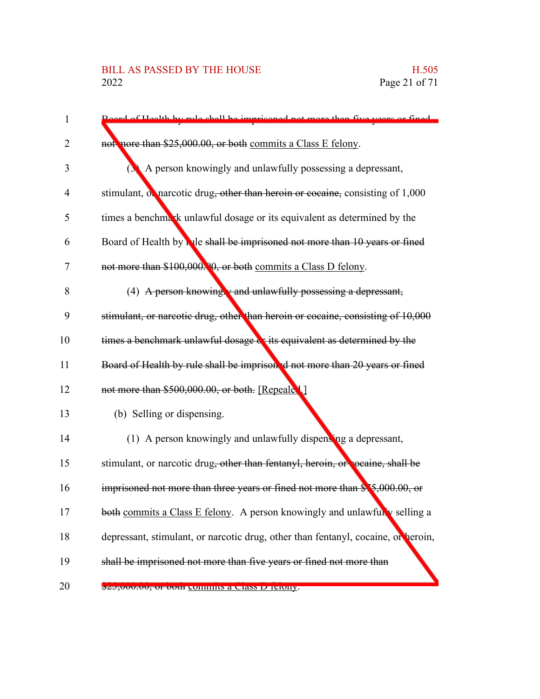| $\mathbf{1}$   | Roard of Hoalth by rule shall be imprisoned not more than five years or fined     |
|----------------|-----------------------------------------------------------------------------------|
| 2              | not nore than \$25,000.00, or both commits a Class E felony.                      |
| 3              | A person knowingly and unlawfully possessing a depressant,                        |
| $\overline{4}$ | stimulant, of narcotic drug, other than heroin or cocaine, consisting of 1,000    |
| 5              | times a benchmark unlawful dosage or its equivalent as determined by the          |
| 6              | Board of Health by Nile shall be imprisoned not more than 10 years or fined       |
| 7              | not more than \$100,000. 0, or both commits a Class D felony.                     |
| 8              | (4) A person knowing $v$ and unlawfully possessing a depressant,                  |
| 9              | stimulant, or narcotic drug, other than heroin or cocaine, consisting of 10,000   |
| 10             | times a benchmark unlawful dosage or its equivalent as determined by the          |
| 11             | Board of Health by rule shall be imprisoned not more than 20 years or fined       |
| 12             | not more than \$500,000.00, or both. [Repeale 1.]                                 |
| 13             | (b) Selling or dispensing.                                                        |
| 14             | (1) A person knowingly and unlawfully dispensing a depressant,                    |
| 15             | stimulant, or narcotic drug, other than fentanyl, heroin, or cocaine, shall be    |
| 16             | imprisoned not more than three years or fined not more than \$75,000.00, or       |
| 17             | both commits a Class E felony. A person knowingly and unlawfully selling a        |
| 18             | depressant, stimulant, or narcotic drug, other than fentanyl, cocaine, or heroin, |
| 19             | shall be imprisoned not more than five years or fined not more than               |
| 20             | <del>ozo,vvo.vo, or oour c</del> ommus a Class D Telony.                          |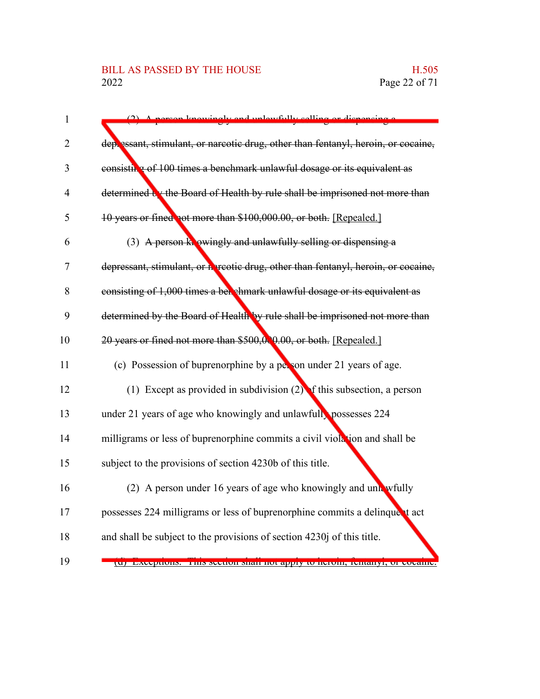#### BILL AS PASSED BY THE HOUSE H.505<br>2022 Page 22 of 71

| $\mathbf{1}$   | person knowingly and unlawfully selling or dispensin                               |
|----------------|------------------------------------------------------------------------------------|
| 2              | deplessant, stimulant, or narcotic drug, other than fentanyl, heroin, or cocaine,  |
| 3              | consisting of 100 times a benchmark unlawful dosage or its equivalent as           |
| $\overline{4}$ | determined by the Board of Health by rule shall be imprisoned not more than        |
| 5              | 10 years or fined not more than \$100,000.00, or both. [Repealed.]                 |
| 6              | (3) A person knowingly and unlawfully selling or dispensing a                      |
| 7              | depressant, stimulant, or hareotic drug, other than fentanyl, heroin, or cocaine,  |
| 8              | consisting of 1,000 times a bet shmark unlawful dosage or its equivalent as        |
| 9              | determined by the Board of Health by rule shall be imprisoned not more than        |
| 10             | 20 years or fined not more than \$500,000,00, or both. [Repealed.]                 |
| 11             | (c) Possession of buprenorphine by a person under 21 years of age.                 |
| 12             | (1) Except as provided in subdivision $(2)$ of this subsection, a person           |
| 13             | under 21 years of age who knowingly and unlawfull, possesses 224                   |
| 14             | milligrams or less of buprenorphine commits a civil violation and shall be         |
| 15             | subject to the provisions of section 4230b of this title.                          |
| 16             | (2) A person under 16 years of age who knowingly and unk wfully                    |
| 17             | possesses 224 milligrams or less of buprenorphine commits a delinque t act         |
| 18             | and shall be subject to the provisions of section 4230j of this title.             |
| 19             | <u>  [u] Exceptions. This section shall not apply to heroin, temanyi, or cocam</u> |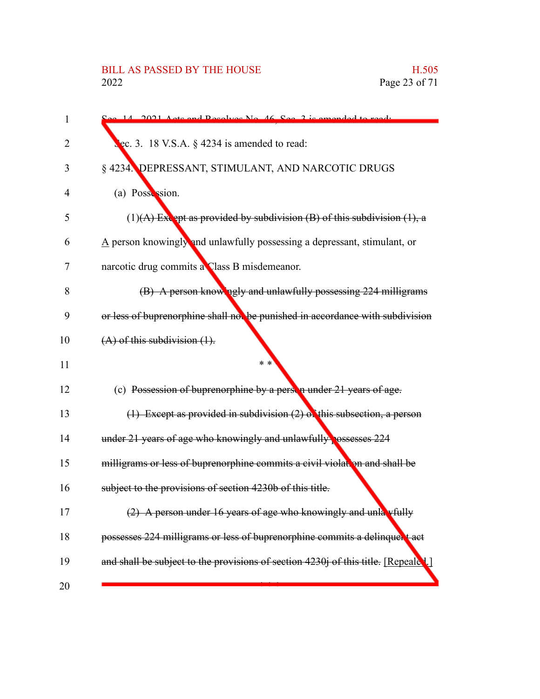# BILL AS PASSED BY THE HOUSE H.505<br>2022 Page 23 of 71

| $\mathbf{1}$ | 14 2021 Acts and Resolves No. 46 Sec. 3 is amended to read:                            |
|--------------|----------------------------------------------------------------------------------------|
| 2            | ec. 3. 18 V.S.A. $\S$ 4234 is amended to read:                                         |
| 3            | § 4234. DEPRESSANT, STIMULANT, AND NARCOTIC DRUGS                                      |
| 4            | (a) Possession.                                                                        |
| 5            | $(1)$ (A) Except as provided by subdivision (B) of this subdivision (1), a             |
| 6            | $\underline{A}$ person knowingly and unlawfully possessing a depressant, stimulant, or |
| 7            | narcotic drug commits a Class B misdemeanor.                                           |
| 8            | (B) A person knowingly and unlawfully possessing 224 milligrams                        |
| 9            | or less of buprenorphine shall not be punished in accordance with subdivision          |
| 10           | $(A)$ of this subdivision $(1)$ .                                                      |
| 11           | * *                                                                                    |
| 12           | (c) Possession of buprenorphine by a person under 21 years of age.                     |
| 13           | $(1)$ Except as provided in subdivision $(2)$ of this subsection, a person             |
| 14           | under 21 years of age who knowingly and unlawfully ossesses 224                        |
| 15           | milligrams or less of buprenorphine commits a civil violation and shall be             |
| 16           | subject to the provisions of section 4230b of this title.                              |
| 17           | (2) A person under 16 years of age who knowingly and unla vfully                       |
| 18           | possesses 224 milligrams or less of buprenorphine commits a delinquent act             |
| 19           | and shall be subject to the provisions of section 4230j of this title. [Repeale 1.]    |
| 20           |                                                                                        |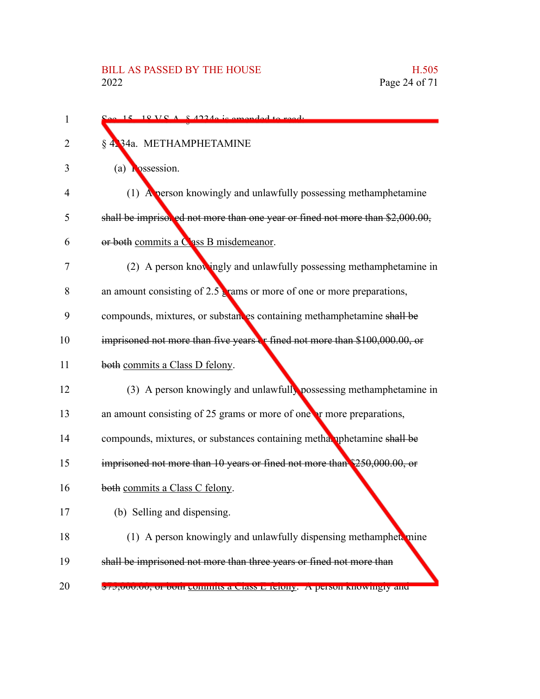| 1  | $\sim$ 15 18 VC $\Lambda$ 8.42240 is amended to ready                            |
|----|----------------------------------------------------------------------------------|
| 2  | § 4234a. METHAMPHETAMINE                                                         |
| 3  | (a) $\log$ ssession.                                                             |
| 4  | (1) A person knowingly and unlawfully possessing methamphetamine                 |
| 5  | shall be imprisoned not more than one year or fined not more than \$2,000.00,    |
| 6  | or both commits a Cass B misdemeanor.                                            |
| 7  | (2) A person knowingly and unlawfully possessing methamphetamine in              |
| 8  | an amount consisting of $2.5$ rams or more of one or more preparations,          |
| 9  | compounds, mixtures, or substances containing methamphetamine shall be           |
| 10 | imprisoned not more than five years or fined not more than \$100,000.00, or      |
| 11 | both commits a Class D felony.                                                   |
| 12 | (3) A person knowingly and unlawfully possessing methamphetamine in              |
| 13 | an amount consisting of 25 grams or more of one or more preparations,            |
| 14 | compounds, mixtures, or substances containing methal uphetamine shall be         |
| 15 | imprisoned not more than 10 years or fined not more than \$250,000.00, or        |
| 16 | both commits a Class C felony.                                                   |
| 17 | (b) Selling and dispensing.                                                      |
| 18 | (1) A person knowingly and unlawfully dispensing methamphete mine                |
| 19 | shall be imprisoned not more than three years or fined not more than             |
| 20 | $\frac{1}{2}75,000.00$ , or both commus a class E telony. A person knowingly and |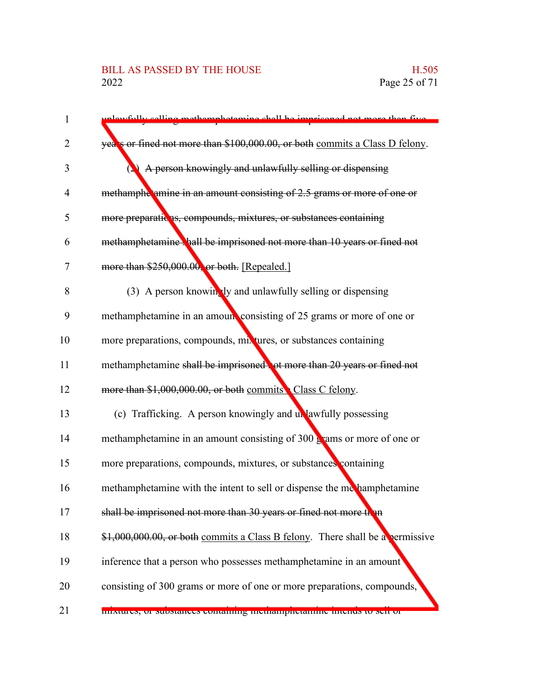#### BILL AS PASSED BY THE HOUSE H.505<br>2022 Page 25 of 71

| 1  | devefully calling methemphotomine shall be imprisoned not more than five           |
|----|------------------------------------------------------------------------------------|
| 2  | years or fined not more than \$100,000.00, or both commits a Class D felony.       |
| 3  | A person knowingly and unlawfully selling or dispensing                            |
| 4  | methamphe amine in an amount consisting of 2.5 grams or more of one or             |
| 5  | more preparatic as, compounds, mixtures, or substances containing                  |
| 6  | methamphetamine hall be imprisoned not more than 10 years or fined not             |
| 7  | more than \$250,000.00, or both. [Repealed.]                                       |
| 8  | (3) A person knowingly and unlawfully selling or dispensing                        |
| 9  | methamphetamine in an amoun consisting of 25 grams or more of one or               |
| 10 | more preparations, compounds, mixtures, or substances containing                   |
| 11 | methamphetamine shall be imprisoned to more than 20 years or fined not             |
| 12 | more than \$1,000,000.00, or both commits Class C felony.                          |
| 13 | (c) Trafficking. A person knowingly and unlawfully possessing                      |
| 14 | methamphetamine in an amount consisting of $300 \frac{1}{2}$ ams or more of one or |
| 15 |                                                                                    |
|    | more preparations, compounds, mixtures, or substances containing                   |
| 16 | methamphetamine with the intent to sell or dispense the methamphetamine            |
| 17 | shall be imprisoned not more than 30 years or fined not more than                  |
| 18 | $$1,000,000.00$ , or both commits a Class B felony. There shall be a permissive    |
| 19 | inference that a person who possesses methamphetamine in an amount                 |
| 20 | consisting of 300 grams or more of one or more preparations, compounds,            |
| 21 | mixtures, or substances containing inculampricialmic intends to sen or             |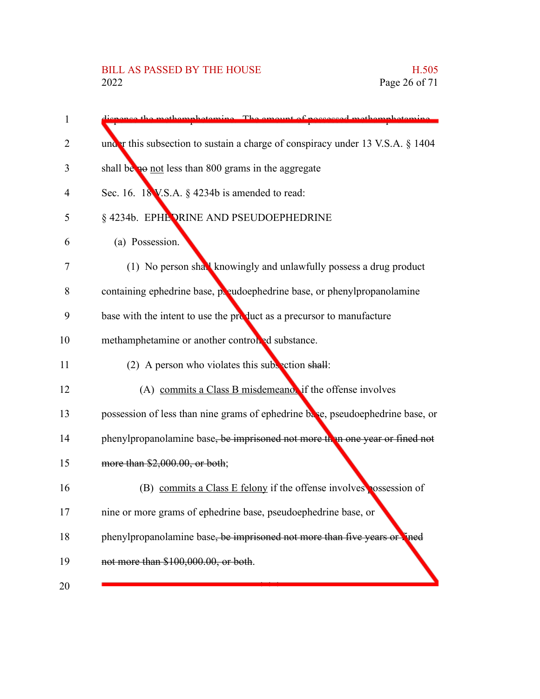| $\mathbf{1}$ | sector methomology inc. The amount of necessary methomology inc.                  |
|--------------|-----------------------------------------------------------------------------------|
| 2            | under this subsection to sustain a charge of conspiracy under 13 V.S.A. $\S$ 1404 |
| 3            | shall be not less than 800 grams in the aggregate                                 |
| 4            | Sec. 16. $18$ V.S.A. § 4234b is amended to read:                                  |
| 5            | § 4234b. EPHE ORINE AND PSEUDOEPHEDRINE                                           |
| 6            | (a) Possession.                                                                   |
| 7            | (1) No person shall knowingly and unlawfully possess a drug product               |
| 8            | containing ephedrine base, poeudoephedrine base, or phenylpropanolamine           |
| 9            | base with the intent to use the product as a precursor to manufacture             |
| 10           | methamphetamine or another controlled substance.                                  |
| 11           | (2) A person who violates this subsection shall:                                  |
| 12           | (A) commits a Class B misdemeanor if the offense involves                         |
| 13           | possession of less than nine grams of ephedrine base, pseudoephedrine base, or    |
| 14           | phenylpropanolamine base, be imprisoned not more than one year or fined not       |
| 15           | more than \$2,000.00, or both;                                                    |
| 16           | (B) commits a Class E felony if the offense involves possession of                |
| 17           | nine or more grams of ephedrine base, pseudoephedrine base, or                    |
| 18           | phenylpropanolamine base, be imprisoned not more than five years or lined         |
| 19           | not more than \$100,000.00, or both.                                              |
| 20           |                                                                                   |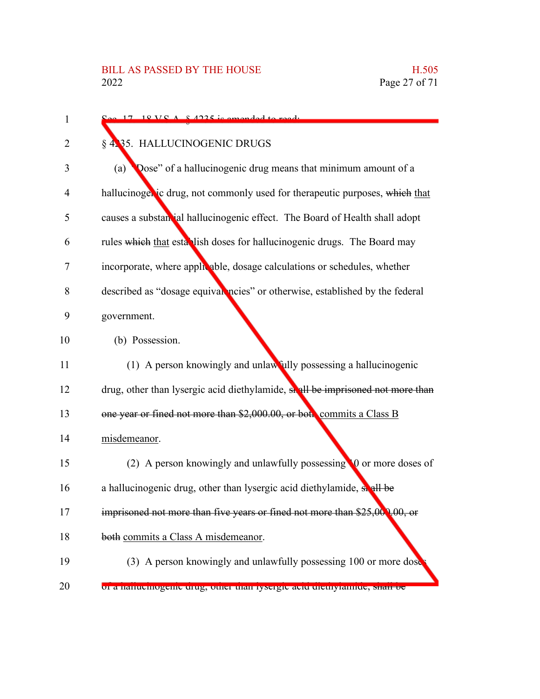| 1  | $\Omega_{\text{QQ}}$ 17 18 VC $\Lambda$ $\Omega$ 125 is amonded to read.       |
|----|--------------------------------------------------------------------------------|
| 2  | § 4.35. HALLUCINOGENIC DRUGS                                                   |
| 3  | Dose" of a hallucinogenic drug means that minimum amount of a<br>(a)           |
| 4  | hallucinogenic drug, not commonly used for therapeutic purposes, which that    |
| 5  | causes a substantial hallucinogenic effect. The Board of Health shall adopt    |
| 6  | rules which that establish doses for hallucinogenic drugs. The Board may       |
| 7  | incorporate, where applicable, dosage calculations or schedules, whether       |
| 8  | described as "dosage equival ncies" or otherwise, established by the federal   |
| 9  | government.                                                                    |
| 10 | (b) Possession.                                                                |
| 11 | (1) A person knowingly and unlawfully possessing a hallucinogenic              |
| 12 | drug, other than lysergic acid diethylamide, shall be imprisoned not more than |
| 13 | one year or fined not more than \$2,000.00, or both commits a Class B          |
| 14 | misdemeanor.                                                                   |
| 15 | (2) A person knowingly and unlawfully possessing 10 or more doses of           |
| 16 | a hallucinogenic drug, other than lysergic acid diethylamide, so all be        |
| 17 | imprisoned not more than five years or fined not more than \$25,000,00, or     |
| 18 | both commits a Class A misdemeanor.                                            |
| 19 | (3) A person knowingly and unlawfully possessing 100 or more dose              |
| 20 | or a nanuemogeme urug, omer man rysergre aeru uremyrannue, snan oe             |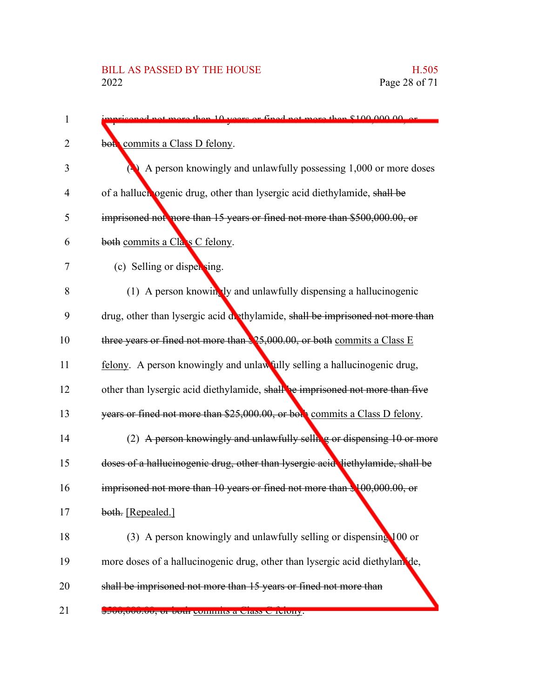| 1  | ore than 10 years or fined not more than \$100,000,00 or                        |
|----|---------------------------------------------------------------------------------|
| 2  | both commits a Class D felony.                                                  |
| 3  | A person knowingly and unlawfully possessing 1,000 or more doses                |
| 4  | of a halluch ogenic drug, other than lysergic acid diethylamide, shall be       |
| 5  | imprisoned not nore than 15 years or fined not more than \$500,000.00, or       |
| 6  | both commits a Class C felony.                                                  |
| 7  | (c) Selling or dispersing.                                                      |
| 8  | (1) A person knowingly and unlawfully dispensing a hallucinogenic               |
| 9  | drug, other than lysergic acid dethylamide, shall be imprisoned not more than   |
| 10 | three years or fined not more than $25,000.00$ , or both commits a Class E      |
| 11 | felony. A person knowingly and unlawfully selling a hallucinogenic drug,        |
| 12 | other than lysergic acid diethylamide, shall be imprisoned not more than five   |
| 13 | years or fined not more than \$25,000.00, or both commits a Class D felony.     |
| 14 | (2) A person knowingly and unlawfully selling or dispensing 10 or more          |
| 15 | doses of a hallucinogenic drug, other than lysergic acid diethylamide, shall be |
| 16 | imprisoned not more than 10 years or fined not more than \$100,000.00, or       |
| 17 | both. [Repealed.]                                                               |
| 18 | (3) A person knowingly and unlawfully selling or dispensing 100 or              |
| 19 | more doses of a hallucinogenic drug, other than lysergic acid diethylam de,     |
| 20 | shall be imprisoned not more than 15 years or fined not more than               |
| 21 | <del>ocoo,ooo,oo, or oour commits a Class C Iciony.</del>                       |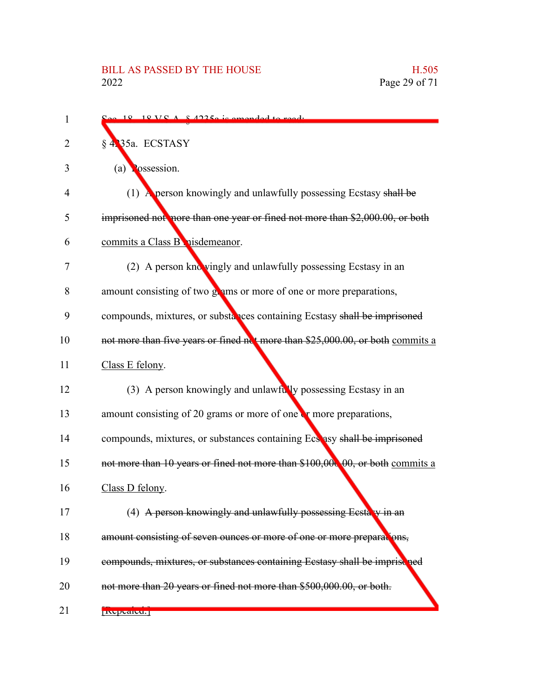| 1  | $\approx$ 18 18 VC A $\approx$ 42250 is amonded to ready                       |
|----|--------------------------------------------------------------------------------|
| 2  | § 4.35a. ECSTASY                                                               |
| 3  | (a) $\log$ ssession.                                                           |
| 4  | (1) A person knowingly and unlawfully possessing Ecstasy shall be              |
| 5  | imprisoned not nore than one year or fined not more than \$2,000.00, or both   |
| 6  | commits a Class B nisdemeanor.                                                 |
| 7  | (2) A person knowingly and unlawfully possessing Ecstasy in an                 |
| 8  | amount consisting of two grams or more of one or more preparations,            |
| 9  | compounds, mixtures, or substances containing Ecstasy shall be imprisoned      |
| 10 | not more than five years or fined not more than \$25,000.00, or both commits a |
| 11 | Class E felony.                                                                |
| 12 | (3) A person knowingly and unlawfully possessing Ecstasy in an                 |
| 13 | amount consisting of 20 grams or more of one $\mathbf{r}$ more preparations,   |
| 14 | compounds, mixtures, or substances containing Ecs asy shall be imprisoned      |
| 15 | not more than 10 years or fined not more than \$100,000,00, or both commits a  |
| 16 | Class D felony.                                                                |
| 17 | (4) A person knowingly and unlawfully possessing Ecstary in an                 |
| 18 | amount consisting of seven ounces or more of one or more preparations,         |
| 19 | compounds, mixtures, or substances containing Ecstasy shall be imprise ned     |
| 20 | not more than 20 years or fined not more than \$500,000.00, or both.           |
| 21 | <b>INCDUATEU.</b>                                                              |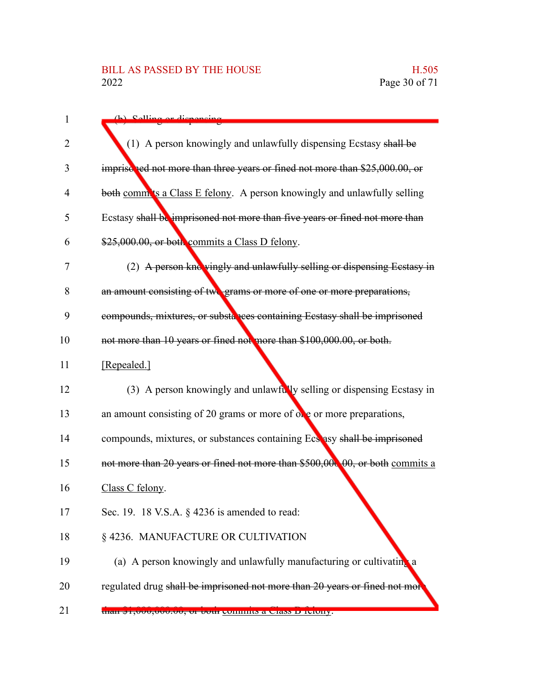| $\mathbf{1}$   | (h) Selling or dispensing                                                     |
|----------------|-------------------------------------------------------------------------------|
| $\overline{2}$ | (1) A person knowingly and unlawfully dispensing Ecstasy shall be             |
| 3              | imprise red not more than three years or fined not more than \$25,000.00, or  |
| 4              | both comm'ts a Class E felony. A person knowingly and unlawfully selling      |
| 5              | Ecstasy shall be imprisoned not more than five years or fined not more than   |
| 6              | \$25,000.00, or both commits a Class D felony.                                |
| 7              | (2) A person knowingly and unlawfully selling or dispensing Ecstasy in        |
| 8              | an amount consisting of two grams or more of one or more preparations,        |
| 9              | compounds, mixtures, or substances containing Ecstasy shall be imprisoned     |
| 10             | not more than 10 years or fined not more than \$100,000.00, or both.          |
| 11             | [Repealed.]                                                                   |
| 12             | (3) A person knowingly and unlawfully selling or dispensing Ecstasy in        |
| 13             | an amount consisting of 20 grams or more of $\alpha$ e or more preparations,  |
| 14             | compounds, mixtures, or substances containing Ecs asy shall be imprisoned     |
| 15             | not more than 20 years or fined not more than \$500,000,00, or both commits a |
| 16             | Class C felony.                                                               |
| 17             | Sec. 19. 18 V.S.A. § 4236 is amended to read:                                 |
| 18             | §4236. MANUFACTURE OR CULTIVATION                                             |
| 19             | (a) A person knowingly and unlawfully manufacturing or cultivating a          |
| 20             | regulated drug shall be imprisoned not more than 20 years or fined not mor    |
| 21             | than $\phi$ 1,000,000.00, or 00th commits a Class D feithly.                  |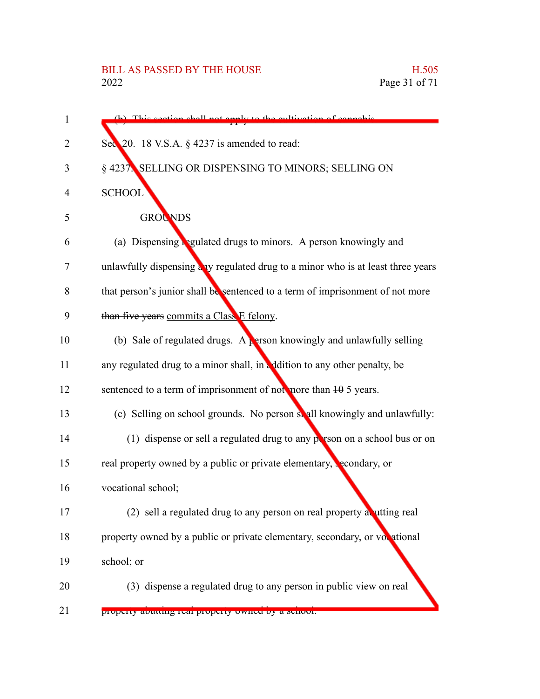| 1  | (b) This section shall not enaly to the cultivation of cannabis                 |
|----|---------------------------------------------------------------------------------|
| 2  | Sec 20. 18 V.S.A. § 4237 is amended to read:                                    |
| 3  | § 4237. SELLING OR DISPENSING TO MINORS; SELLING ON                             |
| 4  | <b>SCHOOL</b>                                                                   |
| 5  | <b>GROUNDS</b>                                                                  |
| 6  | (a) Dispensing <b>Regulated drugs to minors.</b> A person knowingly and         |
| 7  | unlawfully dispensing any regulated drug to a minor who is at least three years |
| 8  | that person's junior shall be sentenced to a term of imprisonment of not more   |
| 9  | than five years commits a Class E felony.                                       |
| 10 | (b) Sale of regulated drugs. A person knowingly and unlawfully selling          |
| 11 | any regulated drug to a minor shall, in addition to any other penalty, be       |
| 12 | sentenced to a term of imprisonment of not more than $10 \overline{5}$ years.   |
| 13 | (c) Selling on school grounds. No person shall knowingly and unlawfully:        |
| 14 | (1) dispense or sell a regulated drug to any person on a school bus or on       |
| 15 | real property owned by a public or private elementary, secondary, or            |
| 16 | vocational school;                                                              |
| 17 | (2) sell a regulated drug to any person on real property at utting real         |
| 18 | property owned by a public or private elementary, secondary, or vocational      |
| 19 | school; or                                                                      |
| 20 | (3) dispense a regulated drug to any person in public view on real              |
| 21 | property abutting real property owned by a senoor.                              |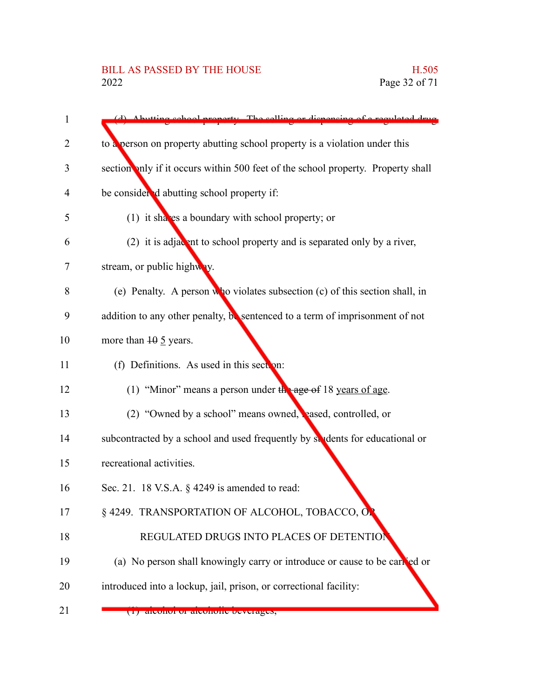| $\mathbf 1$ | (d) Abutting school property. The selling or dispensing of a regulated drug      |
|-------------|----------------------------------------------------------------------------------|
| 2           | to a person on property abutting school property is a violation under this       |
| 3           | section anly if it occurs within 500 feet of the school property. Property shall |
| 4           | be considered abutting school property if:                                       |
| 5           | (1) it shaves a boundary with school property; or                                |
| 6           | (2) it is adjacent to school property and is separated only by a river,          |
| 7           | stream, or public highway.                                                       |
| 8           | (e) Penalty. A person who violates subsection (c) of this section shall, in      |
| 9           | addition to any other penalty, be sentenced to a term of imprisonment of not     |
| 10          | more than $10 \frac{5}{2}$ years.                                                |
| 11          | (f) Definitions. As used in this section:                                        |
| 12          | (1) "Minor" means a person under $\frac{1}{2}$ age of 18 years of age.           |
| 13          | (2) "Owned by a school" means owned, reased, controlled, or                      |
| 14          | subcontracted by a school and used frequently by students for educational or     |
| 15          | recreational activities.                                                         |
| 16          | Sec. 21. 18 V.S.A. $\S$ 4249 is amended to read:                                 |
| 17          | § 4249. TRANSPORTATION OF ALCOHOL, TOBACCO, ON                                   |
| 18          | REGULATED DRUGS INTO PLACES OF DETENTIO                                          |
| 19          | (a) No person shall knowingly carry or introduce or cause to be carred or        |
| 20          | introduced into a lockup, jail, prison, or correctional facility:                |
| 21          | (1) alconol of alconolly beverages,                                              |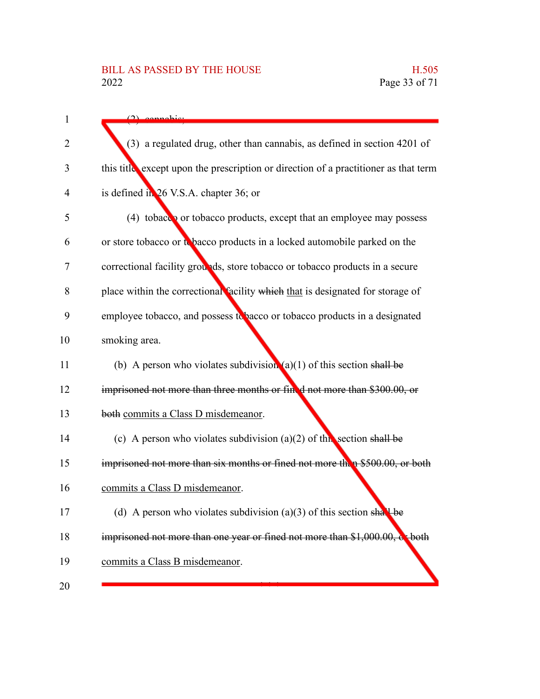| 1  | $(2)$ connobic                                                                      |
|----|-------------------------------------------------------------------------------------|
| 2  | (3) a regulated drug, other than cannabis, as defined in section 4201 of            |
| 3  | this title except upon the prescription or direction of a practitioner as that term |
| 4  | is defined in 26 V.S.A. chapter 36; or                                              |
| 5  | (4) tobacco or tobacco products, except that an employee may possess                |
| 6  | or store tobacco or to bacco products in a locked automobile parked on the          |
| 7  | correctional facility grounds, store tobacco or tobacco products in a secure        |
| 8  | place within the correctional facility which that is designated for storage of      |
| 9  | employee tobacco, and possess to bacco or tobacco products in a designated          |
| 10 | smoking area.                                                                       |
| 11 | (b) A person who violates subdivision (a)(1) of this section shall be               |
| 12 | imprisoned not more than three months or fined not more than \$300.00, or           |
| 13 | both commits a Class D misdemeanor.                                                 |
| 14 | (c) A person who violates subdivision (a)(2) of this section shall be               |
| 15 | imprisoned not more than six months or fined not more then \$500.00, or both        |
| 16 | commits a Class D misdemeanor.                                                      |
| 17 | (d) A person who violates subdivision (a)(3) of this section shall be               |
| 18 | imprisoned not more than one year or fined not more than \$1,000.00, coboth         |
| 19 | commits a Class B misdemeanor.                                                      |
| 20 |                                                                                     |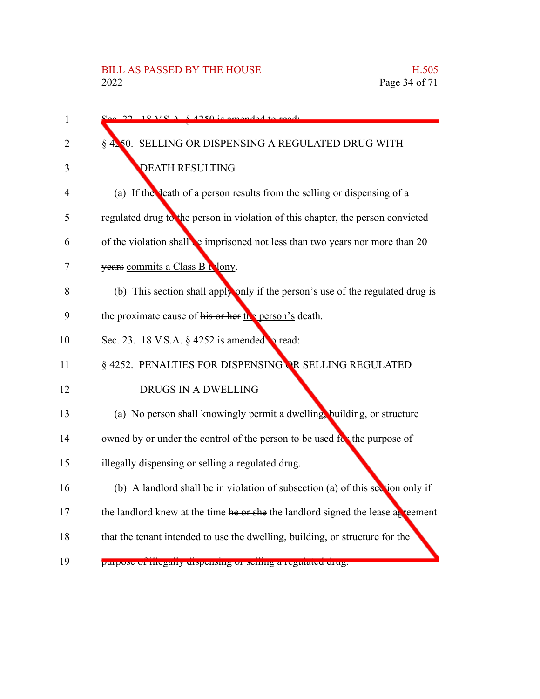| 1  | $18 V S A 8 4250$ is amonded to                                                  |
|----|----------------------------------------------------------------------------------|
| 2  | § 4250. SELLING OR DISPENSING A REGULATED DRUG WITH                              |
| 3  | <b>DEATH RESULTING</b>                                                           |
| 4  | (a) If the death of a person results from the selling or dispensing of a         |
| 5  | regulated drug to the person in violation of this chapter, the person convicted  |
| 6  | of the violation shall be imprisoned not less than two years nor more than $20$  |
| 7  | years commits a Class B Nony.                                                    |
| 8  | (b) This section shall apply only if the person's use of the regulated drug is   |
| 9  | the proximate cause of his or her $\frac{\ln 2}{\ln 2}$ person's death.          |
| 10 | Sec. 23. 18 V.S.A. § 4252 is amended to read:                                    |
| 11 | § 4252. PENALTIES FOR DISPENSING OR SELLING REGULATED                            |
| 12 | DRUGS IN A DWELLING                                                              |
| 13 | (a) No person shall knowingly permit a dwelling, building, or structure          |
| 14 | owned by or under the control of the person to be used for the purpose of        |
| 15 | illegally dispensing or selling a regulated drug.                                |
| 16 | (b) A landlord shall be in violation of subsection (a) of this section only if   |
| 17 | the landlord knew at the time he or she the landlord signed the lease as reement |
| 18 | that the tenant intended to use the dwelling, building, or structure for the     |
| 19 | purpose or megany dispensing or seming a regulated drug.                         |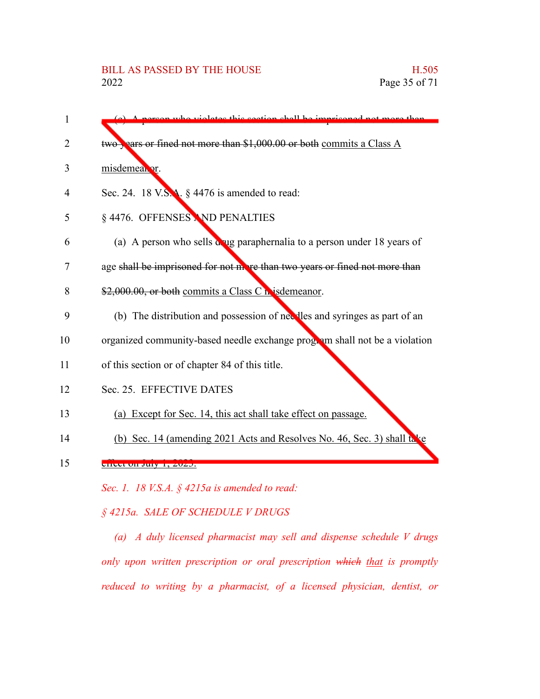(c) A person who violates this section shall be imprisoned not more than two years or fined not more than \$1,000.00 or both commits a Class A misdemeanor. Sec. 24. 18 V.S.A. § 4476 is amended to read: § 4476. OFFENSES AND PENALTIES (a) A person who sells drug paraphernalia to a person under 18 years of age shall be imprisoned for not more than two years or fined not more than \$2,000.00, or both commits a Class C misdemeanor. (b) The distribution and possession of needles and syringes as part of an organized community-based needle exchange program shall not be a violation of this section or of chapter 84 of this title. Sec. 25. EFFECTIVE DATES (a) Except for Sec. 14, this act shall take effect on passage. (b) Sec. 14 (amending 2021 Acts and Resolves No. 46, Sec. 3) shall take effect on July 1, 2023. *Sec. 1. 18 V.S.A. § 4215a is amended to read:* 1  $\mathfrak{D}$ 3 4 5 6 7 8 9 10 11 12 13 14 15

*§ 4215a. SALE OF SCHEDULE V DRUGS*

*(a) A duly licensed pharmacist may sell and dispense schedule V drugs only upon written prescription or oral prescription which that is promptly reduced to writing by a pharmacist, of a licensed physician, dentist, or*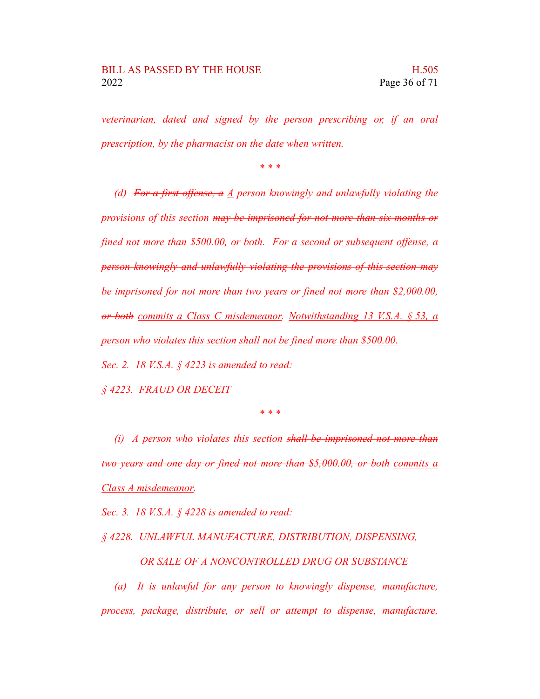*veterinarian, dated and signed by the person prescribing or, if an oral prescription, by the pharmacist on the date when written.*

*\* \* \**

*(d) For a first offense, a A person knowingly and unlawfully violating the provisions of this section may be imprisoned for not more than six months or fined not more than \$500.00, or both. For a second or subsequent offense, a person knowingly and unlawfully violating the provisions of this section may be imprisoned for not more than two years or fined not more than \$2,000.00, or both commits a Class C misdemeanor. Notwithstanding 13 V.S.A. § 53, a person who violates this section shall not be fined more than \$500.00.*

*Sec. 2. 18 V.S.A. § 4223 is amended to read:*

*§ 4223. FRAUD OR DECEIT*

*\* \* \**

*(i) A person who violates this section shall be imprisoned not more than two years and one day or fined not more than \$5,000.00, or both commits a Class A misdemeanor.*

*Sec. 3. 18 V.S.A. § 4228 is amended to read:*

*§ 4228. UNLAWFUL MANUFACTURE, DISTRIBUTION, DISPENSING,*

*OR SALE OF A NONCONTROLLED DRUG OR SUBSTANCE*

*(a) It is unlawful for any person to knowingly dispense, manufacture, process, package, distribute, or sell or attempt to dispense, manufacture,*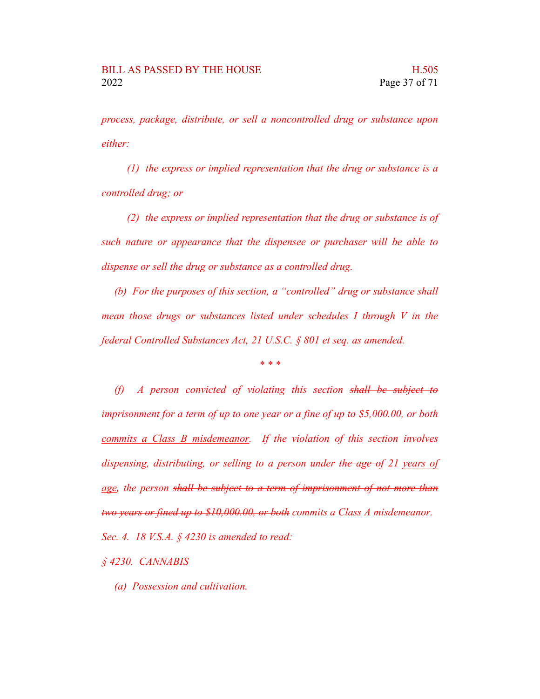*process, package, distribute, or sell a noncontrolled drug or substance upon either:*

*(1) the express or implied representation that the drug or substance is a controlled drug; or*

*(2) the express or implied representation that the drug or substance is of such nature or appearance that the dispensee or purchaser will be able to dispense or sell the drug or substance as a controlled drug.*

*(b) For the purposes of this section, a "controlled" drug or substance shall mean those drugs or substances listed under schedules I through V in the federal Controlled Substances Act, 21 U.S.C. § 801 et seq. as amended.*

*\* \* \**

*(f) A person convicted of violating this section shall be subject to imprisonment for a term of up to one year or a fine of up to \$5,000.00, or both commits a Class B misdemeanor. If the violation of this section involves dispensing, distributing, or selling to a person under the age of 21 years of age, the person shall be subject to a term of imprisonment of not more than two years or fined up to \$10,000.00, or both commits a Class A misdemeanor. Sec. 4. 18 V.S.A. § 4230 is amended to read:*

*§ 4230. CANNABIS*

*(a) Possession and cultivation.*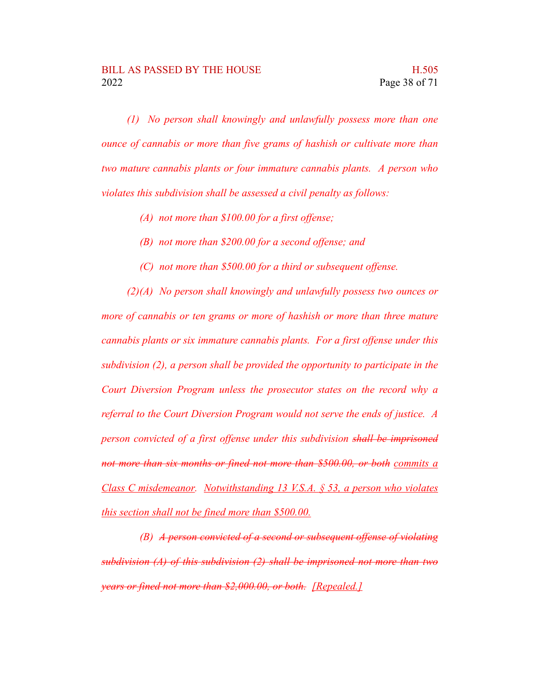*(1) No person shall knowingly and unlawfully possess more than one ounce of cannabis or more than five grams of hashish or cultivate more than two mature cannabis plants or four immature cannabis plants. A person who violates this subdivision shall be assessed a civil penalty as follows:*

- *(A) not more than \$100.00 for a first offense;*
- *(B) not more than \$200.00 for a second offense; and*
- *(C) not more than \$500.00 for a third or subsequent offense.*

*(2)(A) No person shall knowingly and unlawfully possess two ounces or more of cannabis or ten grams or more of hashish or more than three mature cannabis plants or six immature cannabis plants. For a first offense under this subdivision (2), a person shall be provided the opportunity to participate in the Court Diversion Program unless the prosecutor states on the record why a referral to the Court Diversion Program would not serve the ends of justice. A person convicted of a first offense under this subdivision shall be imprisoned not more than six months or fined not more than \$500.00, or both commits a Class C misdemeanor. Notwithstanding 13 V.S.A. § 53, a person who violates this section shall not be fined more than \$500.00.*

*(B) A person convicted of a second or subsequent offense of violating subdivision (A) of this subdivision (2) shall be imprisoned not more than two years or fined not more than \$2,000.00, or both. [Repealed.]*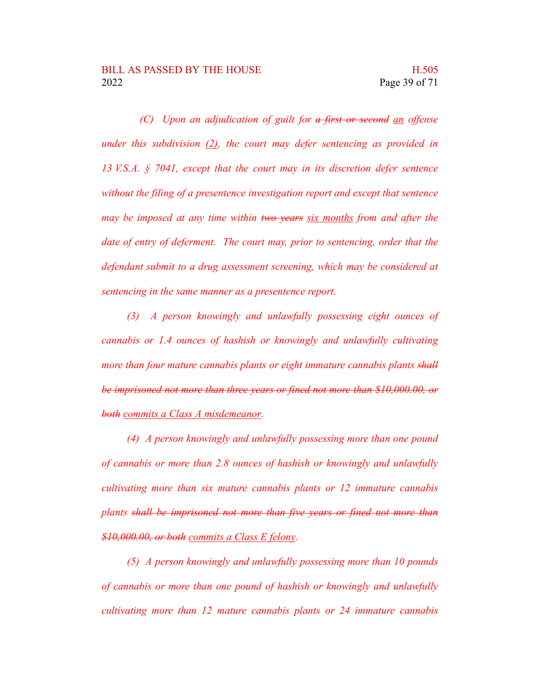*(C) Upon an adjudication of guilt for a first or second an offense under this subdivision (2), the court may defer sentencing as provided in 13 V.S.A. § 7041, except that the court may in its discretion defer sentence without the filing of a presentence investigation report and except that sentence may be imposed at any time within two years six months from and after the date of entry of deferment. The court may, prior to sentencing, order that the defendant submit to a drug assessment screening, which may be considered at sentencing in the same manner as a presentence report.*

*(3) A person knowingly and unlawfully possessing eight ounces of cannabis or 1.4 ounces of hashish or knowingly and unlawfully cultivating more than four mature cannabis plants or eight immature cannabis plants shall be imprisoned not more than three years or fined not more than \$10,000.00, or both commits a Class A misdemeanor.*

*(4) A person knowingly and unlawfully possessing more than one pound of cannabis or more than 2.8 ounces of hashish or knowingly and unlawfully cultivating more than six mature cannabis plants or 12 immature cannabis plants shall be imprisoned not more than five years or fined not more than \$10,000.00, or both commits a Class E felony.*

*(5) A person knowingly and unlawfully possessing more than 10 pounds of cannabis or more than one pound of hashish or knowingly and unlawfully cultivating more than 12 mature cannabis plants or 24 immature cannabis*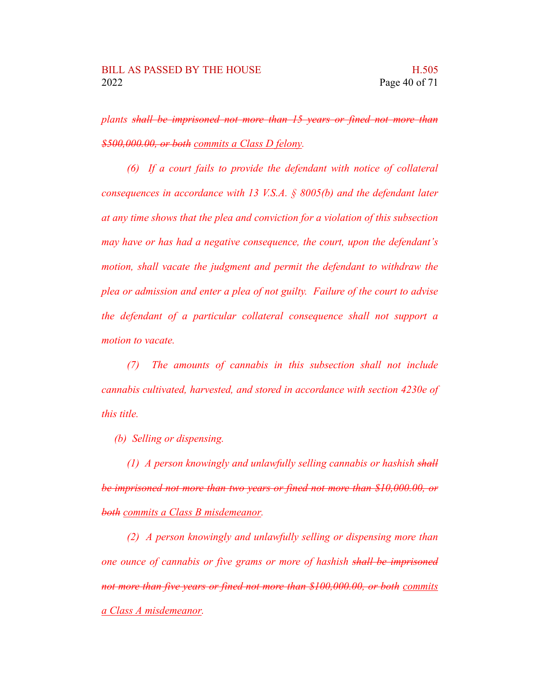*plants shall be imprisoned not more than 15 years or fined not more than \$500,000.00, or both commits a Class D felony.*

*(6) If a court fails to provide the defendant with notice of collateral consequences in accordance with 13 V.S.A. § 8005(b) and the defendant later at any time shows that the plea and conviction for a violation of this subsection may have or has had a negative consequence, the court, upon the defendant's motion, shall vacate the judgment and permit the defendant to withdraw the plea or admission and enter a plea of not guilty. Failure of the court to advise the defendant of a particular collateral consequence shall not support a motion to vacate.*

*(7) The amounts of cannabis in this subsection shall not include cannabis cultivated, harvested, and stored in accordance with section 4230e of this title.*

*(b) Selling or dispensing.*

*(1) A person knowingly and unlawfully selling cannabis or hashish shall be imprisoned not more than two years or fined not more than \$10,000.00, or both commits a Class B misdemeanor.*

*(2) A person knowingly and unlawfully selling or dispensing more than one ounce of cannabis or five grams or more of hashish shall be imprisoned not more than five years or fined not more than \$100,000.00, or both commits a Class A misdemeanor.*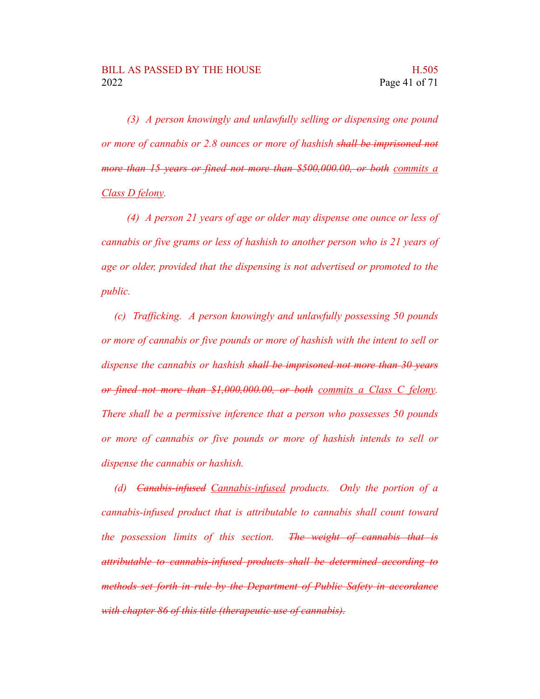*(3) A person knowingly and unlawfully selling or dispensing one pound or more of cannabis or 2.8 ounces or more of hashish shall be imprisoned not more than 15 years or fined not more than \$500,000.00, or both commits a Class D felony.*

*(4) A person 21 years of age or older may dispense one ounce or less of cannabis or five grams or less of hashish to another person who is 21 years of age or older, provided that the dispensing is not advertised or promoted to the public.*

*(c) Trafficking. A person knowingly and unlawfully possessing 50 pounds or more of cannabis or five pounds or more of hashish with the intent to sell or dispense the cannabis or hashish shall be imprisoned not more than 30 years or fined not more than \$1,000,000.00, or both commits a Class C felony. There shall be a permissive inference that a person who possesses 50 pounds or more of cannabis or five pounds or more of hashish intends to sell or dispense the cannabis or hashish.*

*(d) Canabis-infused Cannabis-infused products. Only the portion of a cannabis-infused product that is attributable to cannabis shall count toward the possession limits of this section. The weight of cannabis that is attributable to cannabis-infused products shall be determined according to methods set forth in rule by the Department of Public Safety in accordance with chapter 86 of this title (therapeutic use of cannabis).*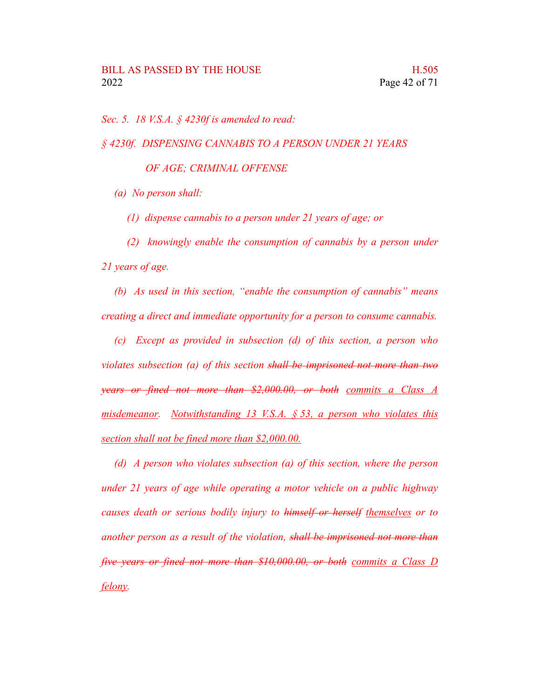*Sec. 5. 18 V.S.A. § 4230f is amended to read:*

*§ 4230f. DISPENSING CANNABIS TO A PERSON UNDER 21 YEARS*

*OF AGE; CRIMINAL OFFENSE*

*(a) No person shall:*

*(1) dispense cannabis to a person under 21 years of age; or*

*(2) knowingly enable the consumption of cannabis by a person under 21 years of age.*

*(b) As used in this section, "enable the consumption of cannabis" means creating a direct and immediate opportunity for a person to consume cannabis.*

*(c) Except as provided in subsection (d) of this section, a person who violates subsection (a) of this section shall be imprisoned not more than two years or fined not more than \$2,000.00, or both commits a Class A misdemeanor. Notwithstanding 13 V.S.A. § 53, a person who violates this section shall not be fined more than \$2,000.00.*

*(d) A person who violates subsection (a) of this section, where the person under 21 years of age while operating a motor vehicle on a public highway causes death or serious bodily injury to himself or herself themselves or to another person as a result of the violation, shall be imprisoned not more than five years or fined not more than \$10,000.00, or both commits a Class D felony.*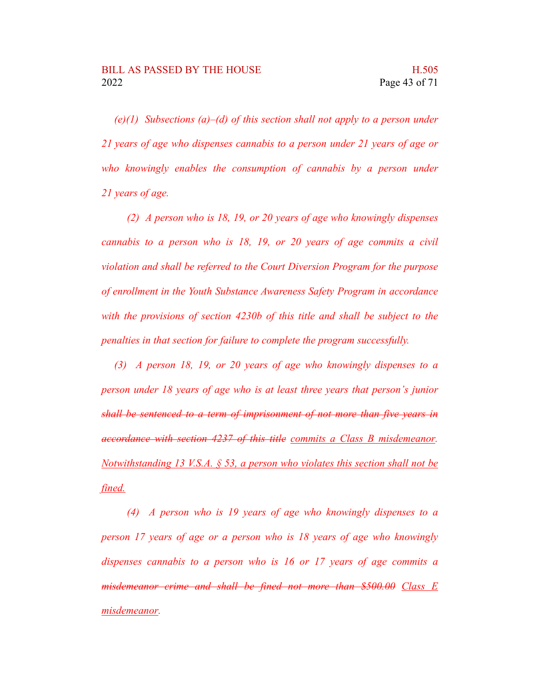*(e)(1) Subsections (a)–(d) of this section shall not apply to a person under 21 years of age who dispenses cannabis to a person under 21 years of age or who knowingly enables the consumption of cannabis by a person under 21 years of age.*

*(2) A person who is 18, 19, or 20 years of age who knowingly dispenses cannabis to a person who is 18, 19, or 20 years of age commits a civil violation and shall be referred to the Court Diversion Program for the purpose of enrollment in the Youth Substance Awareness Safety Program in accordance with the provisions of section 4230b of this title and shall be subject to the penalties in that section for failure to complete the program successfully.*

*(3) A person 18, 19, or 20 years of age who knowingly dispenses to a person under 18 years of age who is at least three years that person's junior shall be sentenced to a term of imprisonment of not more than five years in accordance with section 4237 of this title commits a Class B misdemeanor. Notwithstanding 13 V.S.A. § 53, a person who violates this section shall not be fined.*

*(4) A person who is 19 years of age who knowingly dispenses to a person 17 years of age or a person who is 18 years of age who knowingly dispenses cannabis to a person who is 16 or 17 years of age commits a misdemeanor crime and shall be fined not more than \$500.00 Class E misdemeanor.*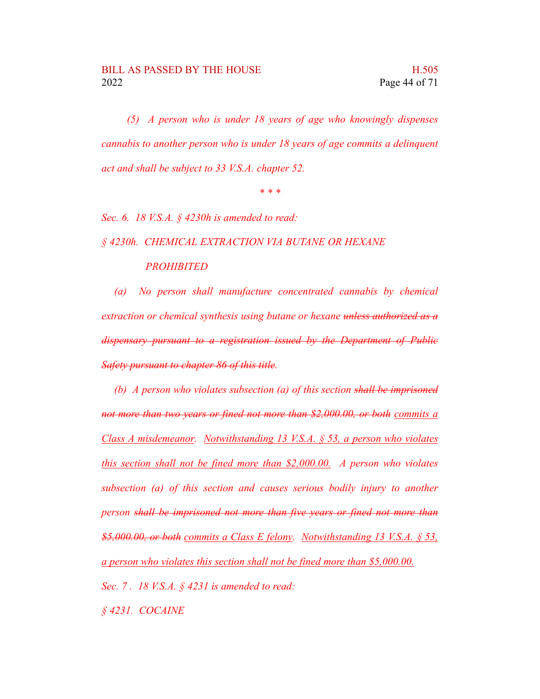*(5) A person who is under 18 years of age who knowingly dispenses cannabis to another person who is under 18 years of age commits a delinquent act and shall be subject to 33 V.S.A. chapter 52.*

*\* \* \**

*Sec. 6. 18 V.S.A. § 4230h is amended to read:*

*§ 4230h. CHEMICAL EXTRACTION VIA BUTANE OR HEXANE PROHIBITED*

*(a) No person shall manufacture concentrated cannabis by chemical extraction or chemical synthesis using butane or hexane unless authorized as a dispensary pursuant to a registration issued by the Department of Public Safety pursuant to chapter 86 of this title.*

*(b) A person who violates subsection (a) of this section shall be imprisoned not more than two years or fined not more than \$2,000.00, or both commits a Class A misdemeanor. Notwithstanding 13 V.S.A. § 53, a person who violates this section shall not be fined more than \$2,000.00. A person who violates subsection (a) of this section and causes serious bodily injury to another person shall be imprisoned not more than five years or fined not more than \$5,000.00, or both commits a Class E felony. Notwithstanding 13 V.S.A. § 53, a person who violates this section shall not be fined more than \$5,000.00. Sec. 7 . 18 V.S.A. § 4231 is amended to read:*

*§ 4231. COCAINE*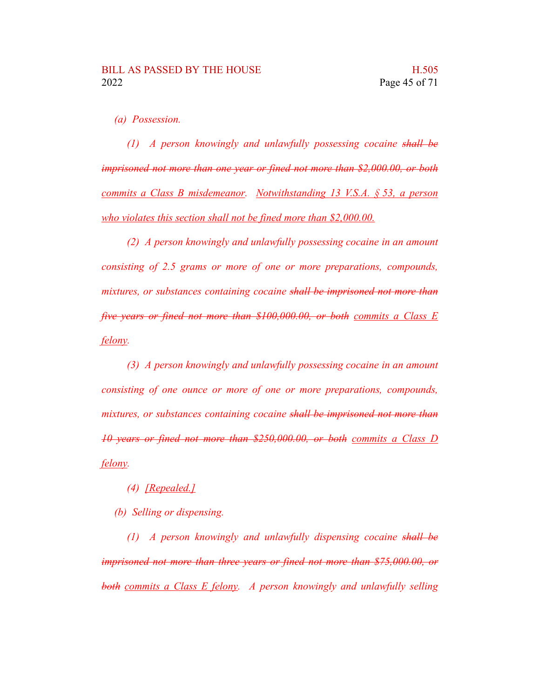*(a) Possession.*

*(1) A person knowingly and unlawfully possessing cocaine shall be imprisoned not more than one year or fined not more than \$2,000.00, or both commits a Class B misdemeanor. Notwithstanding 13 V.S.A. § 53, a person who violates this section shall not be fined more than \$2,000.00.*

*(2) A person knowingly and unlawfully possessing cocaine in an amount consisting of 2.5 grams or more of one or more preparations, compounds, mixtures, or substances containing cocaine shall be imprisoned not more than five years or fined not more than \$100,000.00, or both commits a Class E felony.*

*(3) A person knowingly and unlawfully possessing cocaine in an amount consisting of one ounce or more of one or more preparations, compounds, mixtures, or substances containing cocaine shall be imprisoned not more than 10 years or fined not more than \$250,000.00, or both commits a Class D felony.*

*(4) [Repealed.]*

*(b) Selling or dispensing.*

*(1) A person knowingly and unlawfully dispensing cocaine shall be imprisoned not more than three years or fined not more than \$75,000.00, or both commits a Class E felony. A person knowingly and unlawfully selling*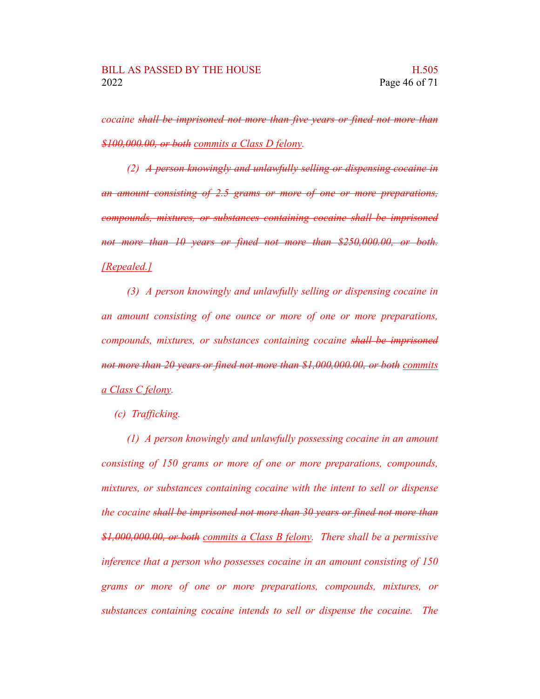*cocaine shall be imprisoned not more than five years or fined not more than \$100,000.00, or both commits a Class D felony.*

*(2) A person knowingly and unlawfully selling or dispensing cocaine in an amount consisting of 2.5 grams or more of one or more preparations, compounds, mixtures, or substances containing cocaine shall be imprisoned not more than 10 years or fined not more than \$250,000.00, or both. [Repealed.]*

*(3) A person knowingly and unlawfully selling or dispensing cocaine in an amount consisting of one ounce or more of one or more preparations, compounds, mixtures, or substances containing cocaine shall be imprisoned not more than 20 years or fined not more than \$1,000,000.00, or both commits a Class C felony.*

*(c) Trafficking.*

*(1) A person knowingly and unlawfully possessing cocaine in an amount consisting of 150 grams or more of one or more preparations, compounds, mixtures, or substances containing cocaine with the intent to sell or dispense the cocaine shall be imprisoned not more than 30 years or fined not more than \$1,000,000.00, or both commits a Class B felony. There shall be a permissive inference that a person who possesses cocaine in an amount consisting of 150 grams or more of one or more preparations, compounds, mixtures, or substances containing cocaine intends to sell or dispense the cocaine. The*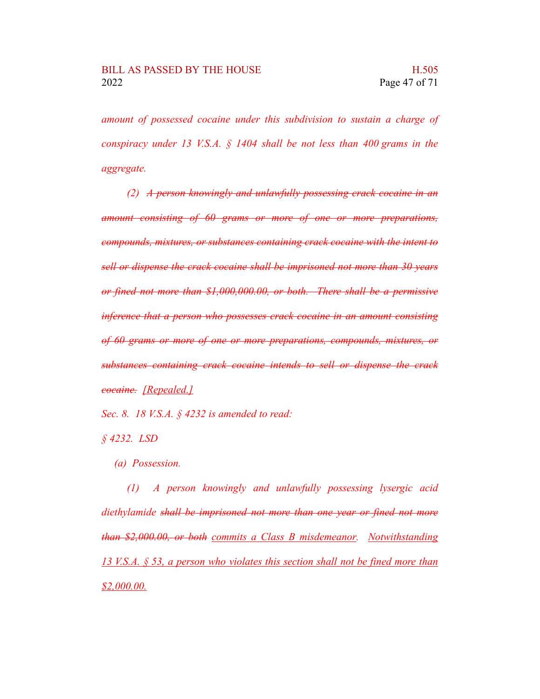*amount of possessed cocaine under this subdivision to sustain a charge of conspiracy under 13 V.S.A. § 1404 shall be not less than 400 grams in the aggregate.*

*(2) A person knowingly and unlawfully possessing crack cocaine in an amount consisting of 60 grams or more of one or more preparations, compounds, mixtures, or substances containing crack cocaine with the intent to sell or dispense the crack cocaine shall be imprisoned not more than 30 years or fined not more than \$1,000,000.00, or both. There shall be a permissive inference that a person who possesses crack cocaine in an amount consisting of 60 grams or more of one or more preparations, compounds, mixtures, or substances containing crack cocaine intends to sell or dispense the crack cocaine. [Repealed.]*

*Sec. 8. 18 V.S.A. § 4232 is amended to read:*

*§ 4232. LSD*

*(a) Possession.*

*(1) A person knowingly and unlawfully possessing lysergic acid diethylamide shall be imprisoned not more than one year or fined not more than \$2,000.00, or both commits a Class B misdemeanor. Notwithstanding 13 V.S.A. § 53, a person who violates this section shall not be fined more than \$2,000.00.*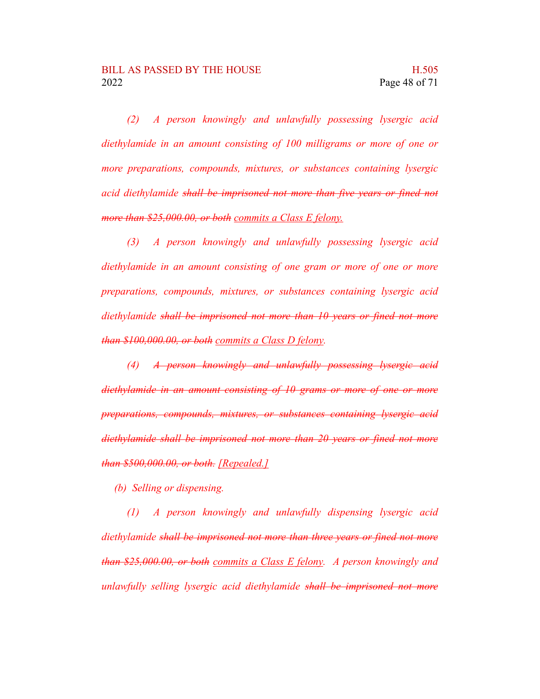*(2) A person knowingly and unlawfully possessing lysergic acid diethylamide in an amount consisting of 100 milligrams or more of one or more preparations, compounds, mixtures, or substances containing lysergic acid diethylamide shall be imprisoned not more than five years or fined not more than \$25,000.00, or both commits a Class E felony.*

*(3) A person knowingly and unlawfully possessing lysergic acid diethylamide in an amount consisting of one gram or more of one or more preparations, compounds, mixtures, or substances containing lysergic acid diethylamide shall be imprisoned not more than 10 years or fined not more than \$100,000.00, or both commits a Class D felony.*

*(4) A person knowingly and unlawfully possessing lysergic acid diethylamide in an amount consisting of 10 grams or more of one or more preparations, compounds, mixtures, or substances containing lysergic acid diethylamide shall be imprisoned not more than 20 years or fined not more than \$500,000.00, or both. [Repealed.]*

*(b) Selling or dispensing.*

*(1) A person knowingly and unlawfully dispensing lysergic acid diethylamide shall be imprisoned not more than three years or fined not more than \$25,000.00, or both commits a Class E felony. A person knowingly and unlawfully selling lysergic acid diethylamide shall be imprisoned not more*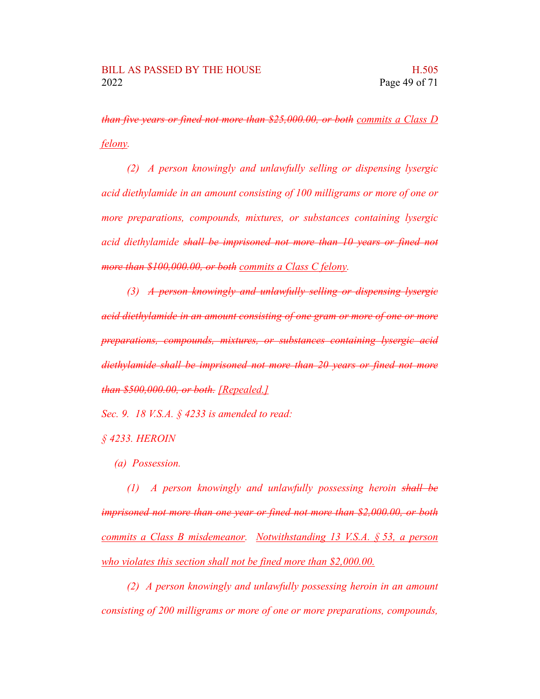*than five years or fined not more than \$25,000.00, or both commits a Class D felony.*

*(2) A person knowingly and unlawfully selling or dispensing lysergic acid diethylamide in an amount consisting of 100 milligrams or more of one or more preparations, compounds, mixtures, or substances containing lysergic acid diethylamide shall be imprisoned not more than 10 years or fined not more than \$100,000.00, or both commits a Class C felony.*

*(3) A person knowingly and unlawfully selling or dispensing lysergic acid diethylamide in an amount consisting of one gram or more of one or more preparations, compounds, mixtures, or substances containing lysergic acid diethylamide shall be imprisoned not more than 20 years or fined not more than \$500,000.00, or both. [Repealed.]*

*Sec. 9. 18 V.S.A. § 4233 is amended to read:*

*§ 4233. HEROIN*

*(a) Possession.*

*(1) A person knowingly and unlawfully possessing heroin shall be imprisoned not more than one year or fined not more than \$2,000.00, or both commits a Class B misdemeanor. Notwithstanding 13 V.S.A. § 53, a person who violates this section shall not be fined more than \$2,000.00.*

*(2) A person knowingly and unlawfully possessing heroin in an amount consisting of 200 milligrams or more of one or more preparations, compounds,*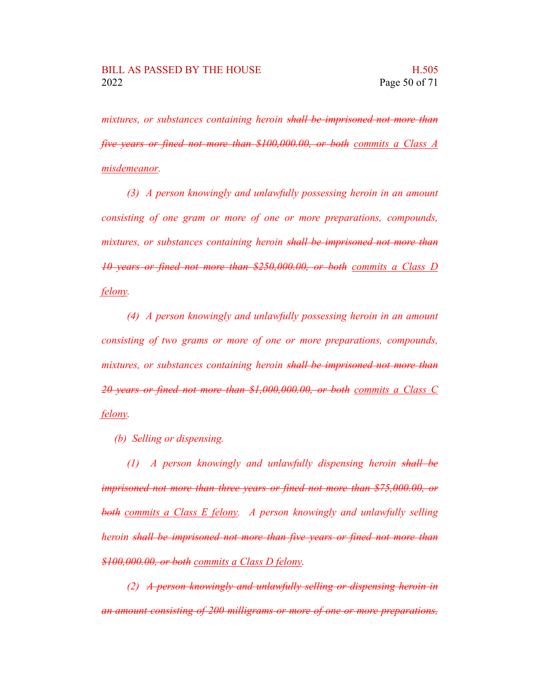*mixtures, or substances containing heroin shall be imprisoned not more than five years or fined not more than \$100,000.00, or both commits a Class A misdemeanor.*

*(3) A person knowingly and unlawfully possessing heroin in an amount consisting of one gram or more of one or more preparations, compounds, mixtures, or substances containing heroin shall be imprisoned not more than 10 years or fined not more than \$250,000.00, or both commits a Class D felony.*

*(4) A person knowingly and unlawfully possessing heroin in an amount consisting of two grams or more of one or more preparations, compounds, mixtures, or substances containing heroin shall be imprisoned not more than 20 years or fined not more than \$1,000,000.00, or both commits a Class C felony.*

*(b) Selling or dispensing.*

*(1) A person knowingly and unlawfully dispensing heroin shall be imprisoned not more than three years or fined not more than \$75,000.00, or both commits a Class E felony. A person knowingly and unlawfully selling heroin shall be imprisoned not more than five years or fined not more than \$100,000.00, or both commits a Class D felony.*

*(2) A person knowingly and unlawfully selling or dispensing heroin in an amount consisting of 200 milligrams or more of one or more preparations,*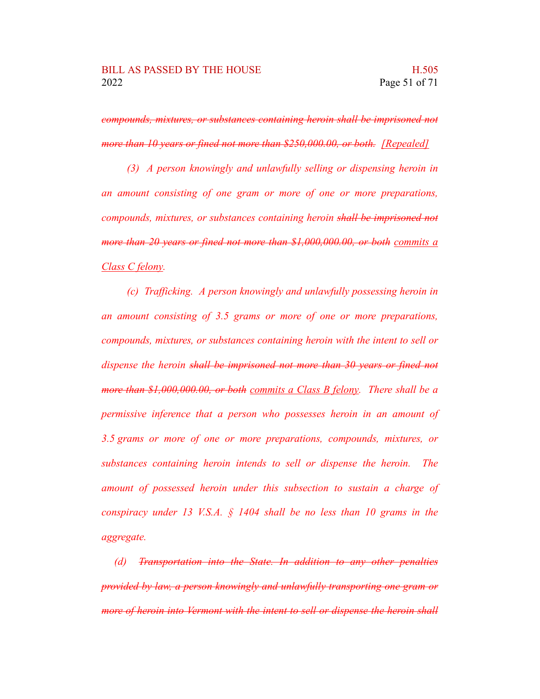*compounds, mixtures, or substances containing heroin shall be imprisoned not more than 10 years or fined not more than \$250,000.00, or both. [Repealed]*

*(3) A person knowingly and unlawfully selling or dispensing heroin in an amount consisting of one gram or more of one or more preparations, compounds, mixtures, or substances containing heroin shall be imprisoned not more than 20 years or fined not more than \$1,000,000.00, or both commits a Class C felony.*

*(c) Trafficking. A person knowingly and unlawfully possessing heroin in an amount consisting of 3.5 grams or more of one or more preparations, compounds, mixtures, or substances containing heroin with the intent to sell or dispense the heroin shall be imprisoned not more than 30 years or fined not more than \$1,000,000.00, or both commits a Class B felony. There shall be a permissive inference that a person who possesses heroin in an amount of 3.5 grams or more of one or more preparations, compounds, mixtures, or substances containing heroin intends to sell or dispense the heroin. The amount of possessed heroin under this subsection to sustain a charge of conspiracy under 13 V.S.A. § 1404 shall be no less than 10 grams in the aggregate.*

*(d) Transportation into the State. In addition to any other penalties provided by law, a person knowingly and unlawfully transporting one gram or more of heroin into Vermont with the intent to sell or dispense the heroin shall*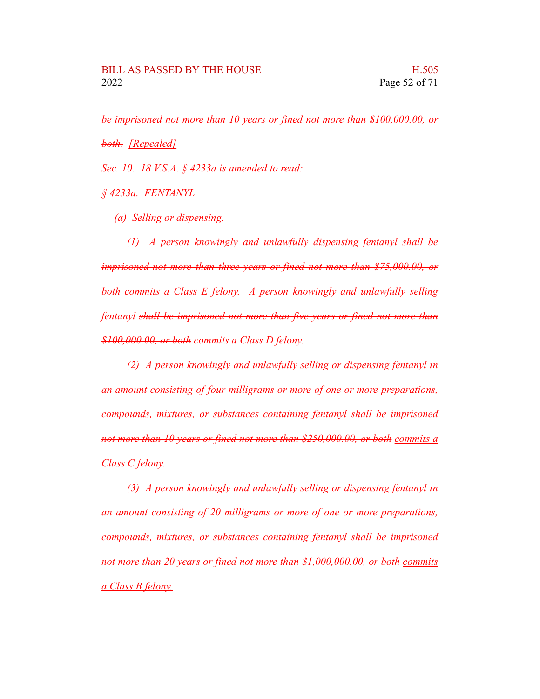*be imprisoned not more than 10 years or fined not more than \$100,000.00, or both. [Repealed]*

*Sec. 10. 18 V.S.A. § 4233a is amended to read:*

*§ 4233a. FENTANYL*

*(a) Selling or dispensing.*

*(1) A person knowingly and unlawfully dispensing fentanyl shall be imprisoned not more than three years or fined not more than \$75,000.00, or both commits a Class E felony. A person knowingly and unlawfully selling fentanyl shall be imprisoned not more than five years or fined not more than \$100,000.00, or both commits a Class D felony.*

*(2) A person knowingly and unlawfully selling or dispensing fentanyl in an amount consisting of four milligrams or more of one or more preparations, compounds, mixtures, or substances containing fentanyl shall be imprisoned not more than 10 years or fined not more than \$250,000.00, or both commits a Class C felony.*

*(3) A person knowingly and unlawfully selling or dispensing fentanyl in an amount consisting of 20 milligrams or more of one or more preparations, compounds, mixtures, or substances containing fentanyl shall be imprisoned not more than 20 years or fined not more than \$1,000,000.00, or both commits a Class B felony.*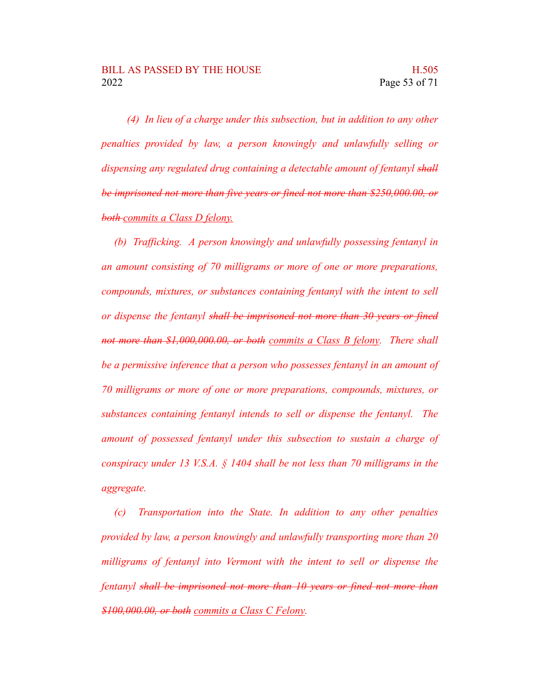*(4) In lieu of a charge under this subsection, but in addition to any other penalties provided by law, a person knowingly and unlawfully selling or dispensing any regulated drug containing a detectable amount of fentanyl shall be imprisoned not more than five years or fined not more than \$250,000.00, or both commits a Class D felony.*

*(b) Trafficking. A person knowingly and unlawfully possessing fentanyl in an amount consisting of 70 milligrams or more of one or more preparations, compounds, mixtures, or substances containing fentanyl with the intent to sell or dispense the fentanyl shall be imprisoned not more than 30 years or fined not more than \$1,000,000.00, or both commits a Class B felony. There shall be a permissive inference that a person who possesses fentanyl in an amount of 70 milligrams or more of one or more preparations, compounds, mixtures, or substances containing fentanyl intends to sell or dispense the fentanyl. The amount of possessed fentanyl under this subsection to sustain a charge of conspiracy under 13 V.S.A. § 1404 shall be not less than 70 milligrams in the aggregate.*

*(c) Transportation into the State. In addition to any other penalties provided by law, a person knowingly and unlawfully transporting more than 20 milligrams of fentanyl into Vermont with the intent to sell or dispense the fentanyl shall be imprisoned not more than 10 years or fined not more than \$100,000.00, or both commits a Class C Felony.*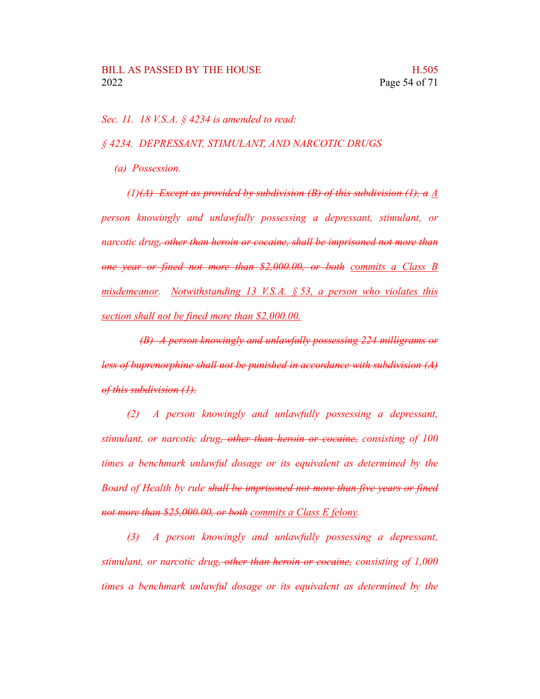*Sec. 11. 18 V.S.A. § 4234 is amended to read:*

*§ 4234. DEPRESSANT, STIMULANT, AND NARCOTIC DRUGS*

*(a) Possession.*

*(1)(A) Except as provided by subdivision (B) of this subdivision (1), a A person knowingly and unlawfully possessing a depressant, stimulant, or narcotic drug, other than heroin or cocaine, shall be imprisoned not more than one year or fined not more than \$2,000.00, or both commits a Class B misdemeanor. Notwithstanding 13 V.S.A. § 53, a person who violates this section shall not be fined more than \$2,000.00.*

*(B) A person knowingly and unlawfully possessing 224 milligrams or less of buprenorphine shall not be punished in accordance with subdivision (A) of this subdivision (1).*

*(2) A person knowingly and unlawfully possessing a depressant, stimulant, or narcotic drug, other than heroin or cocaine, consisting of 100 times a benchmark unlawful dosage or its equivalent as determined by the Board of Health by rule shall be imprisoned not more than five years or fined not more than \$25,000.00, or both commits a Class E felony.*

*(3) A person knowingly and unlawfully possessing a depressant, stimulant, or narcotic drug, other than heroin or cocaine, consisting of 1,000 times a benchmark unlawful dosage or its equivalent as determined by the*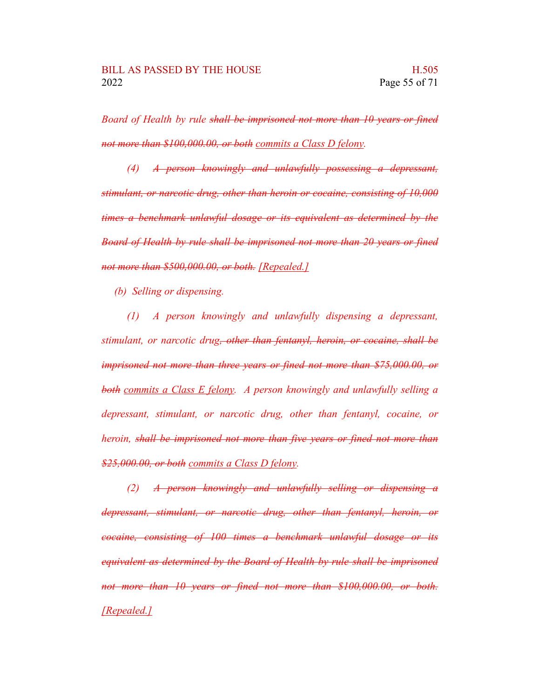*Board of Health by rule shall be imprisoned not more than 10 years or fined not more than \$100,000.00, or both commits a Class D felony.*

*(4) A person knowingly and unlawfully possessing a depressant, stimulant, or narcotic drug, other than heroin or cocaine, consisting of 10,000 times a benchmark unlawful dosage or its equivalent as determined by the Board of Health by rule shall be imprisoned not more than 20 years or fined not more than \$500,000.00, or both. [Repealed.]*

*(b) Selling or dispensing.*

*(1) A person knowingly and unlawfully dispensing a depressant, stimulant, or narcotic drug, other than fentanyl, heroin, or cocaine, shall be imprisoned not more than three years or fined not more than \$75,000.00, or both commits a Class E felony. A person knowingly and unlawfully selling a depressant, stimulant, or narcotic drug, other than fentanyl, cocaine, or heroin, shall be imprisoned not more than five years or fined not more than \$25,000.00, or both commits a Class D felony.*

*(2) A person knowingly and unlawfully selling or dispensing a depressant, stimulant, or narcotic drug, other than fentanyl, heroin, or cocaine, consisting of 100 times a benchmark unlawful dosage or its equivalent as determined by the Board of Health by rule shall be imprisoned not more than 10 years or fined not more than \$100,000.00, or both. [Repealed.]*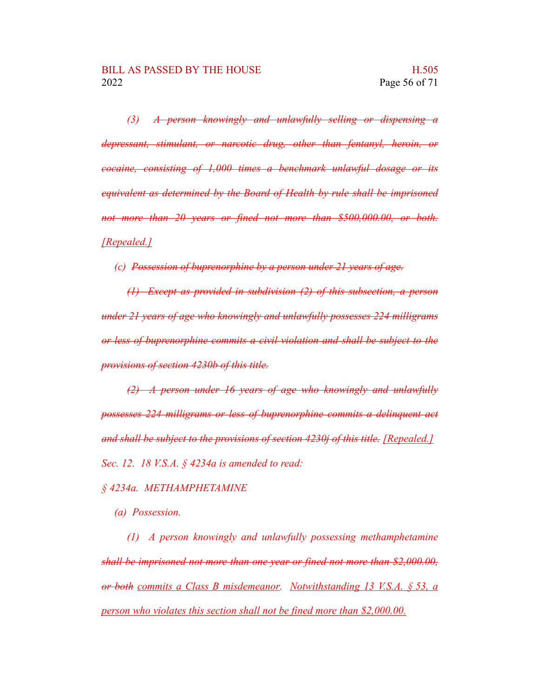*(3) A person knowingly and unlawfully selling or dispensing a depressant, stimulant, or narcotic drug, other than fentanyl, heroin, or cocaine, consisting of 1,000 times a benchmark unlawful dosage or its equivalent as determined by the Board of Health by rule shall be imprisoned not more than 20 years or fined not more than \$500,000.00, or both. [Repealed.]*

*(c) Possession of buprenorphine by a person under 21 years of age.*

*(1) Except as provided in subdivision (2) of this subsection, a person under 21 years of age who knowingly and unlawfully possesses 224 milligrams or less of buprenorphine commits a civil violation and shall be subject to the provisions of section 4230b of this title.*

*(2) A person under 16 years of age who knowingly and unlawfully possesses 224 milligrams or less of buprenorphine commits a delinquent act and shall be subject to the provisions of section 4230j of this title. [Repealed.] Sec. 12. 18 V.S.A. § 4234a is amended to read:*

#### *§ 4234a. METHAMPHETAMINE*

*(a) Possession.*

*(1) A person knowingly and unlawfully possessing methamphetamine shall be imprisoned not more than one year or fined not more than \$2,000.00, or both commits a Class B misdemeanor. Notwithstanding 13 V.S.A. § 53, a person who violates this section shall not be fined more than \$2,000.00.*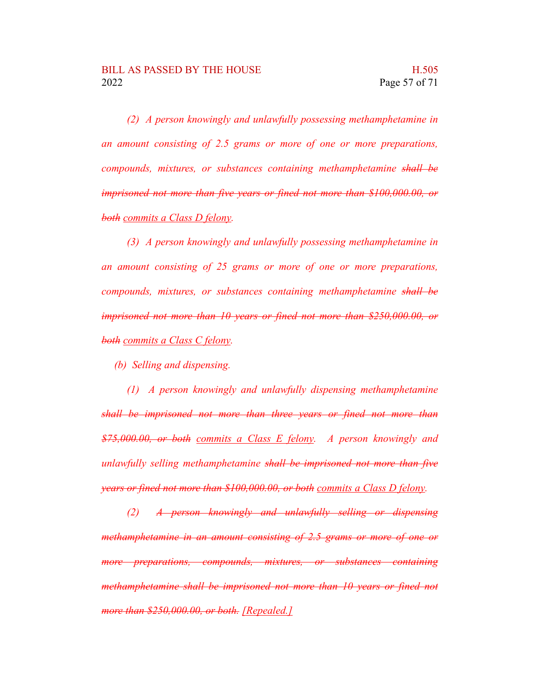*(2) A person knowingly and unlawfully possessing methamphetamine in an amount consisting of 2.5 grams or more of one or more preparations, compounds, mixtures, or substances containing methamphetamine shall be imprisoned not more than five years or fined not more than \$100,000.00, or both commits a Class D felony.*

*(3) A person knowingly and unlawfully possessing methamphetamine in an amount consisting of 25 grams or more of one or more preparations, compounds, mixtures, or substances containing methamphetamine shall be imprisoned not more than 10 years or fined not more than \$250,000.00, or both commits a Class C felony.*

*(b) Selling and dispensing.*

*(1) A person knowingly and unlawfully dispensing methamphetamine shall be imprisoned not more than three years or fined not more than \$75,000.00, or both commits a Class E felony. A person knowingly and unlawfully selling methamphetamine shall be imprisoned not more than five years or fined not more than \$100,000.00, or both commits a Class D felony.*

*(2) A person knowingly and unlawfully selling or dispensing methamphetamine in an amount consisting of 2.5 grams or more of one or more preparations, compounds, mixtures, or substances containing methamphetamine shall be imprisoned not more than 10 years or fined not more than \$250,000.00, or both. [Repealed.]*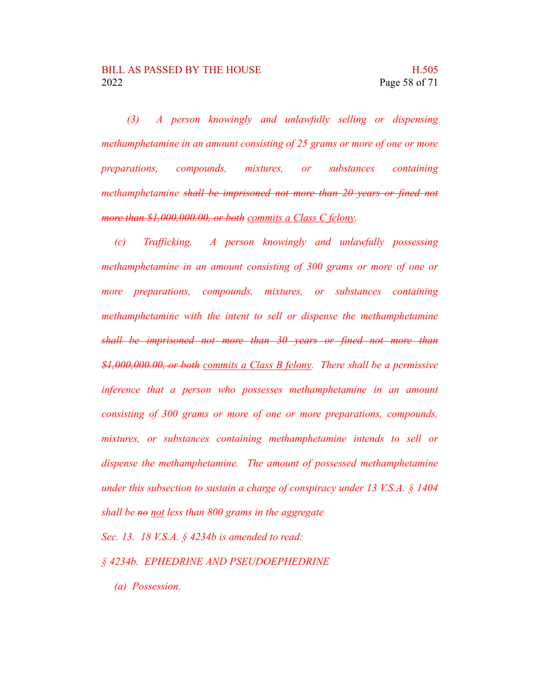*(3) A person knowingly and unlawfully selling or dispensing methamphetamine in an amount consisting of 25 grams or more of one or more preparations, compounds, mixtures, or substances containing methamphetamine shall be imprisoned not more than 20 years or fined not more than \$1,000,000.00, or both commits a Class C felony.*

*(c) Trafficking. A person knowingly and unlawfully possessing methamphetamine in an amount consisting of 300 grams or more of one or more preparations, compounds, mixtures, or substances containing methamphetamine with the intent to sell or dispense the methamphetamine shall be imprisoned not more than 30 years or fined not more than \$1,000,000.00, or both commits a Class B felony. There shall be a permissive inference that a person who possesses methamphetamine in an amount consisting of 300 grams or more of one or more preparations, compounds, mixtures, or substances containing methamphetamine intends to sell or dispense the methamphetamine. The amount of possessed methamphetamine under this subsection to sustain a charge of conspiracy under 13 V.S.A. § 1404 shall be no not less than 800 grams in the aggregate*

*Sec. 13. 18 V.S.A. § 4234b is amended to read:*

- *§ 4234b. EPHEDRINE AND PSEUDOEPHEDRINE*
	- *(a) Possession.*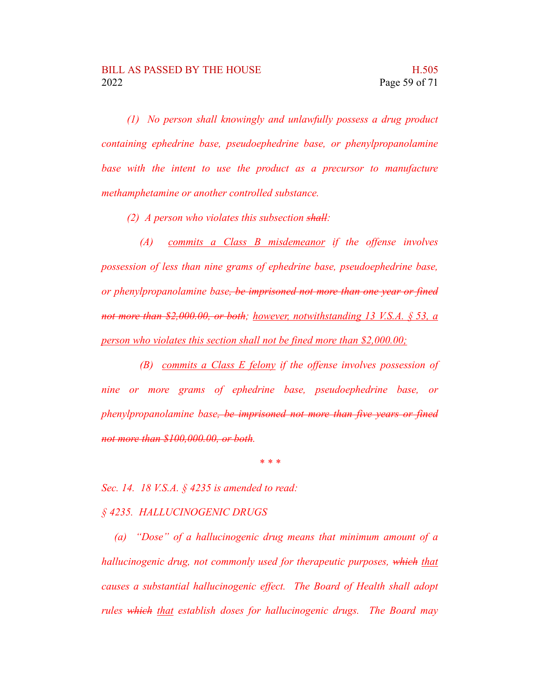*(1) No person shall knowingly and unlawfully possess a drug product containing ephedrine base, pseudoephedrine base, or phenylpropanolamine base with the intent to use the product as a precursor to manufacture methamphetamine or another controlled substance.*

*(2) A person who violates this subsection shall:*

*(A) commits a Class B misdemeanor if the offense involves possession of less than nine grams of ephedrine base, pseudoephedrine base, or phenylpropanolamine base, be imprisoned not more than one year or fined not more than \$2,000.00, or both; however, notwithstanding 13 V.S.A. § 53, a person who violates this section shall not be fined more than \$2,000.00;*

*(B) commits a Class E felony if the offense involves possession of nine or more grams of ephedrine base, pseudoephedrine base, or phenylpropanolamine base, be imprisoned not more than five years or fined not more than \$100,000.00, or both.*

*\* \* \**

*Sec. 14. 18 V.S.A. § 4235 is amended to read:*

#### *§ 4235. HALLUCINOGENIC DRUGS*

*(a) "Dose" of a hallucinogenic drug means that minimum amount of a hallucinogenic drug, not commonly used for therapeutic purposes, which that causes a substantial hallucinogenic effect. The Board of Health shall adopt rules which that establish doses for hallucinogenic drugs. The Board may*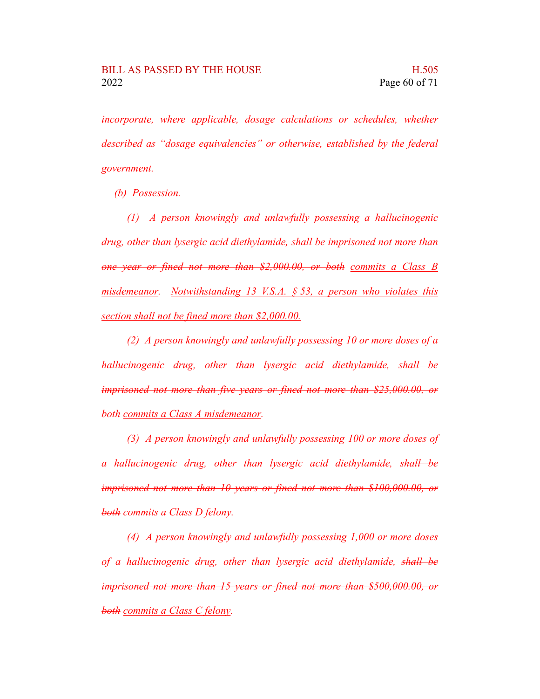*incorporate, where applicable, dosage calculations or schedules, whether described as "dosage equivalencies" or otherwise, established by the federal government.*

*(b) Possession.*

*(1) A person knowingly and unlawfully possessing a hallucinogenic drug, other than lysergic acid diethylamide, shall be imprisoned not more than one year or fined not more than \$2,000.00, or both commits a Class B misdemeanor. Notwithstanding 13 V.S.A. § 53, a person who violates this section shall not be fined more than \$2,000.00.*

*(2) A person knowingly and unlawfully possessing 10 or more doses of a hallucinogenic drug, other than lysergic acid diethylamide, shall be imprisoned not more than five years or fined not more than \$25,000.00, or both commits a Class A misdemeanor.*

*(3) A person knowingly and unlawfully possessing 100 or more doses of a hallucinogenic drug, other than lysergic acid diethylamide, shall be imprisoned not more than 10 years or fined not more than \$100,000.00, or both commits a Class D felony.*

*(4) A person knowingly and unlawfully possessing 1,000 or more doses of a hallucinogenic drug, other than lysergic acid diethylamide, shall be imprisoned not more than 15 years or fined not more than \$500,000.00, or both commits a Class C felony.*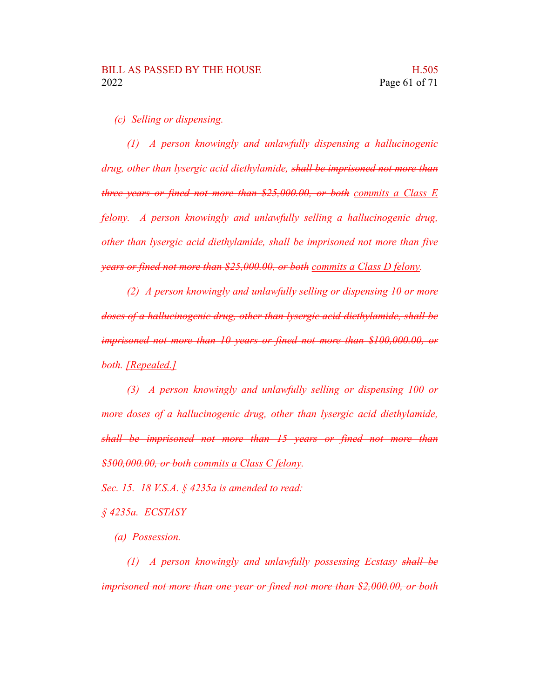*(c) Selling or dispensing.*

*(1) A person knowingly and unlawfully dispensing a hallucinogenic drug, other than lysergic acid diethylamide, shall be imprisoned not more than three years or fined not more than \$25,000.00, or both commits a Class E felony. A person knowingly and unlawfully selling a hallucinogenic drug, other than lysergic acid diethylamide, shall be imprisoned not more than five years or fined not more than \$25,000.00, or both commits a Class D felony.*

*(2) A person knowingly and unlawfully selling or dispensing 10 or more doses of a hallucinogenic drug, other than lysergic acid diethylamide, shall be imprisoned not more than 10 years or fined not more than \$100,000.00, or both. [Repealed.]*

*(3) A person knowingly and unlawfully selling or dispensing 100 or more doses of a hallucinogenic drug, other than lysergic acid diethylamide, shall be imprisoned not more than 15 years or fined not more than \$500,000.00, or both commits a Class C felony.*

*Sec. 15. 18 V.S.A. § 4235a is amended to read:*

*§ 4235a. ECSTASY*

*(a) Possession.*

*(1) A person knowingly and unlawfully possessing Ecstasy shall be imprisoned not more than one year or fined not more than \$2,000.00, or both*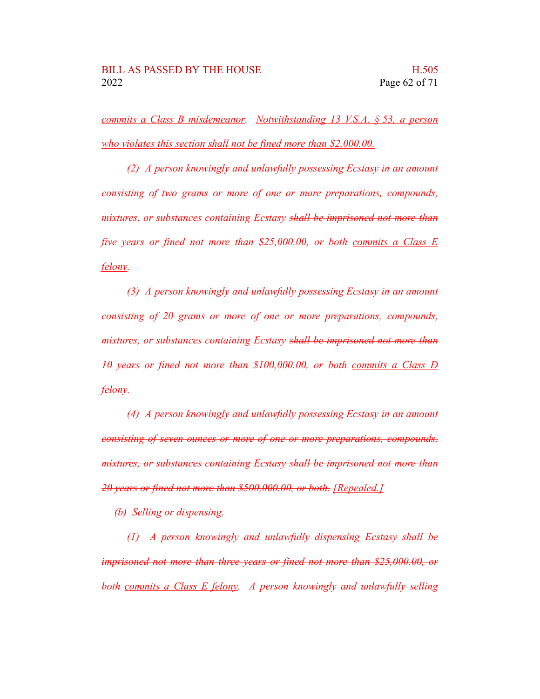*commits a Class B misdemeanor. Notwithstanding 13 V.S.A. § 53, a person who violates this section shall not be fined more than \$2,000.00.*

*(2) A person knowingly and unlawfully possessing Ecstasy in an amount consisting of two grams or more of one or more preparations, compounds, mixtures, or substances containing Ecstasy shall be imprisoned not more than five years or fined not more than \$25,000.00, or both commits a Class E felony.*

*(3) A person knowingly and unlawfully possessing Ecstasy in an amount consisting of 20 grams or more of one or more preparations, compounds, mixtures, or substances containing Ecstasy shall be imprisoned not more than 10 years or fined not more than \$100,000.00, or both commits a Class D felony.*

*(4) A person knowingly and unlawfully possessing Ecstasy in an amount consisting of seven ounces or more of one or more preparations, compounds, mixtures, or substances containing Ecstasy shall be imprisoned not more than 20 years or fined not more than \$500,000.00, or both. [Repealed.]*

*(b) Selling or dispensing.*

*(1) A person knowingly and unlawfully dispensing Ecstasy shall be imprisoned not more than three years or fined not more than \$25,000.00, or both commits a Class E felony. A person knowingly and unlawfully selling*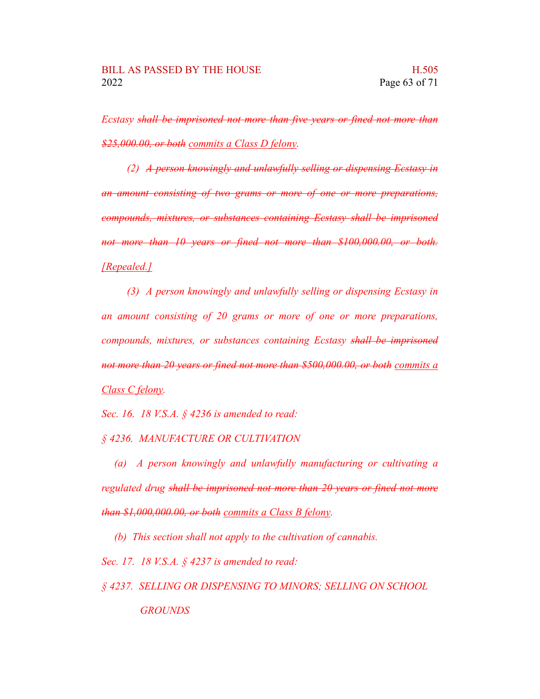*Ecstasy shall be imprisoned not more than five years or fined not more than \$25,000.00, or both commits a Class D felony.*

*(2) A person knowingly and unlawfully selling or dispensing Ecstasy in an amount consisting of two grams or more of one or more preparations, compounds, mixtures, or substances containing Ecstasy shall be imprisoned not more than 10 years or fined not more than \$100,000.00, or both. [Repealed.]*

*(3) A person knowingly and unlawfully selling or dispensing Ecstasy in an amount consisting of 20 grams or more of one or more preparations, compounds, mixtures, or substances containing Ecstasy shall be imprisoned not more than 20 years or fined not more than \$500,000.00, or both commits a Class C felony.*

*Sec. 16. 18 V.S.A. § 4236 is amended to read:*

*§ 4236. MANUFACTURE OR CULTIVATION*

*(a) A person knowingly and unlawfully manufacturing or cultivating a regulated drug shall be imprisoned not more than 20 years or fined not more than \$1,000,000.00, or both commits a Class B felony.*

*(b) This section shall not apply to the cultivation of cannabis.*

*Sec. 17. 18 V.S.A. § 4237 is amended to read:*

*§ 4237. SELLING OR DISPENSING TO MINORS; SELLING ON SCHOOL GROUNDS*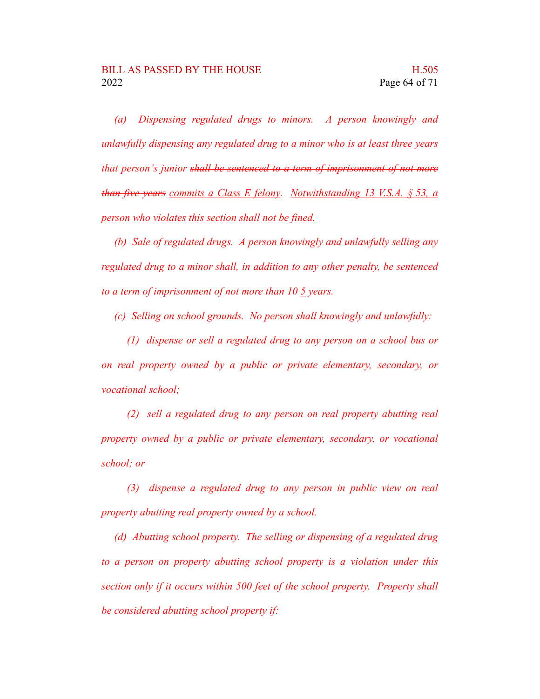*(a) Dispensing regulated drugs to minors. A person knowingly and unlawfully dispensing any regulated drug to a minor who is at least three years that person's junior shall be sentenced to a term of imprisonment of not more than five years commits a Class E felony. Notwithstanding 13 V.S.A. § 53, a person who violates this section shall not be fined.*

*(b) Sale of regulated drugs. A person knowingly and unlawfully selling any regulated drug to a minor shall, in addition to any other penalty, be sentenced to a term of imprisonment of not more than 10 5 years.*

*(c) Selling on school grounds. No person shall knowingly and unlawfully:*

*(1) dispense or sell a regulated drug to any person on a school bus or on real property owned by a public or private elementary, secondary, or vocational school;*

*(2) sell a regulated drug to any person on real property abutting real property owned by a public or private elementary, secondary, or vocational school; or*

*(3) dispense a regulated drug to any person in public view on real property abutting real property owned by a school.*

*(d) Abutting school property. The selling or dispensing of a regulated drug to a person on property abutting school property is a violation under this section only if it occurs within 500 feet of the school property. Property shall be considered abutting school property if:*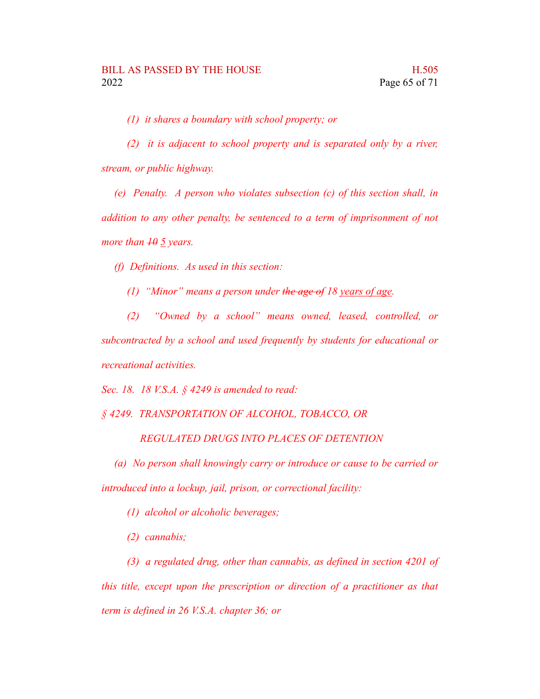*(1) it shares a boundary with school property; or*

*(2) it is adjacent to school property and is separated only by a river, stream, or public highway.*

*(e) Penalty. A person who violates subsection (c) of this section shall, in addition to any other penalty, be sentenced to a term of imprisonment of not more than 10 5 years.*

*(f) Definitions. As used in this section:*

*(1) "Minor" means a person under the age of 18 years of age.*

*(2) "Owned by a school" means owned, leased, controlled, or subcontracted by a school and used frequently by students for educational or recreational activities.*

*Sec. 18. 18 V.S.A. § 4249 is amended to read:*

*§ 4249. TRANSPORTATION OF ALCOHOL, TOBACCO, OR*

*REGULATED DRUGS INTO PLACES OF DETENTION*

*(a) No person shall knowingly carry or introduce or cause to be carried or introduced into a lockup, jail, prison, or correctional facility:*

*(1) alcohol or alcoholic beverages;*

*(2) cannabis;*

*(3) a regulated drug, other than cannabis, as defined in section 4201 of this title, except upon the prescription or direction of a practitioner as that term is defined in 26 V.S.A. chapter 36; or*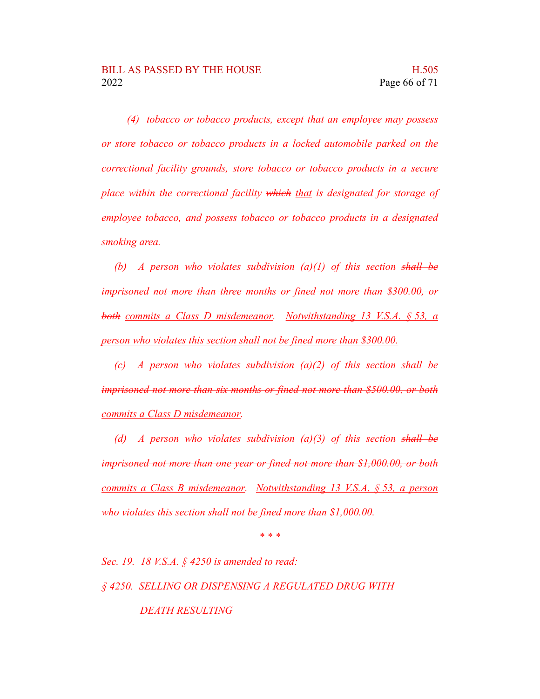*(4) tobacco or tobacco products, except that an employee may possess or store tobacco or tobacco products in a locked automobile parked on the correctional facility grounds, store tobacco or tobacco products in a secure place within the correctional facility which that is designated for storage of employee tobacco, and possess tobacco or tobacco products in a designated smoking area.*

*(b) A person who violates subdivision (a)(1) of this section shall be imprisoned not more than three months or fined not more than \$300.00, or both commits a Class D misdemeanor. Notwithstanding 13 V.S.A. § 53, a person who violates this section shall not be fined more than \$300.00.*

*(c) A person who violates subdivision (a)(2) of this section shall be imprisoned not more than six months or fined not more than \$500.00, or both commits a Class D misdemeanor.*

*(d) A person who violates subdivision (a)(3) of this section shall be imprisoned not more than one year or fined not more than \$1,000.00, or both commits a Class B misdemeanor. Notwithstanding 13 V.S.A. § 53, a person who violates this section shall not be fined more than \$1,000.00.*

*\* \* \**

*Sec. 19. 18 V.S.A. § 4250 is amended to read: § 4250. SELLING OR DISPENSING A REGULATED DRUG WITH DEATH RESULTING*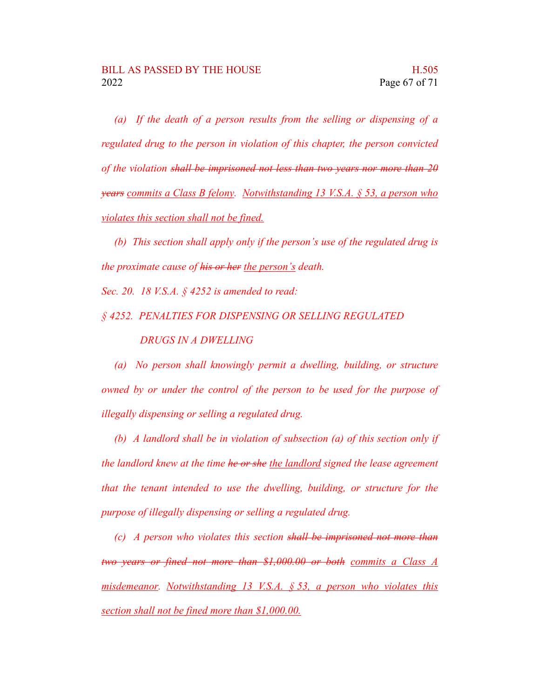*(a) If the death of a person results from the selling or dispensing of a regulated drug to the person in violation of this chapter, the person convicted of the violation shall be imprisoned not less than two years nor more than 20 years commits a Class B felony. Notwithstanding 13 V.S.A. § 53, a person who violates this section shall not be fined.*

*(b) This section shall apply only if the person's use of the regulated drug is the proximate cause of his or her the person's death.*

*Sec. 20. 18 V.S.A. § 4252 is amended to read:*

#### *§ 4252. PENALTIES FOR DISPENSING OR SELLING REGULATED DRUGS IN A DWELLING*

*(a) No person shall knowingly permit a dwelling, building, or structure owned by or under the control of the person to be used for the purpose of illegally dispensing or selling a regulated drug.*

*(b) A landlord shall be in violation of subsection (a) of this section only if the landlord knew at the time he or she the landlord signed the lease agreement that the tenant intended to use the dwelling, building, or structure for the purpose of illegally dispensing or selling a regulated drug.*

*(c) A person who violates this section shall be imprisoned not more than two years or fined not more than \$1,000.00 or both commits a Class A misdemeanor. Notwithstanding 13 V.S.A. § 53, a person who violates this section shall not be fined more than \$1,000.00.*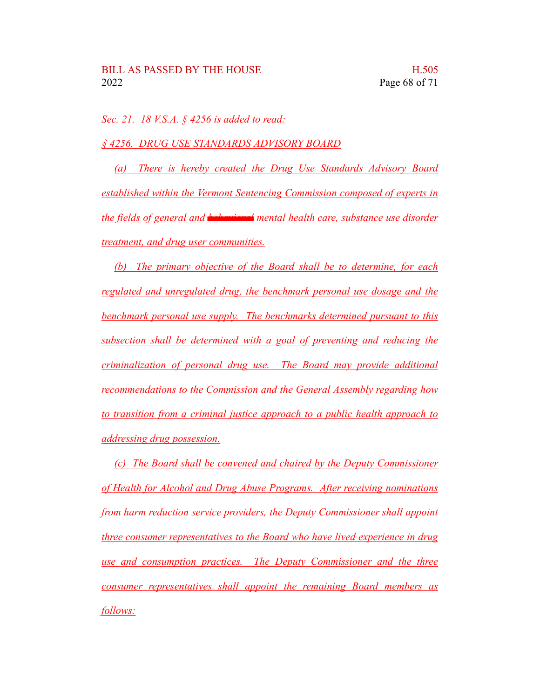*Sec. 21. 18 V.S.A. § 4256 is added to read:*

*§ 4256. DRUG USE STANDARDS ADVISORY BOARD*

*(a) There is hereby created the Drug Use Standards Advisory Board established within the Vermont Sentencing Commission composed of experts in the fields of general and behavioral mental health care, substance use disorder treatment, and drug user communities.*

*(b) The primary objective of the Board shall be to determine, for each regulated and unregulated drug, the benchmark personal use dosage and the benchmark personal use supply. The benchmarks determined pursuant to this subsection shall be determined with a goal of preventing and reducing the criminalization of personal drug use. The Board may provide additional recommendations to the Commission and the General Assembly regarding how to transition from a criminal justice approach to a public health approach to addressing drug possession.*

*(c) The Board shall be convened and chaired by the Deputy Commissioner of Health for Alcohol and Drug Abuse Programs. After receiving nominations from harm reduction service providers, the Deputy Commissioner shall appoint three consumer representatives to the Board who have lived experience in drug use and consumption practices. The Deputy Commissioner and the three consumer representatives shall appoint the remaining Board members as follows:*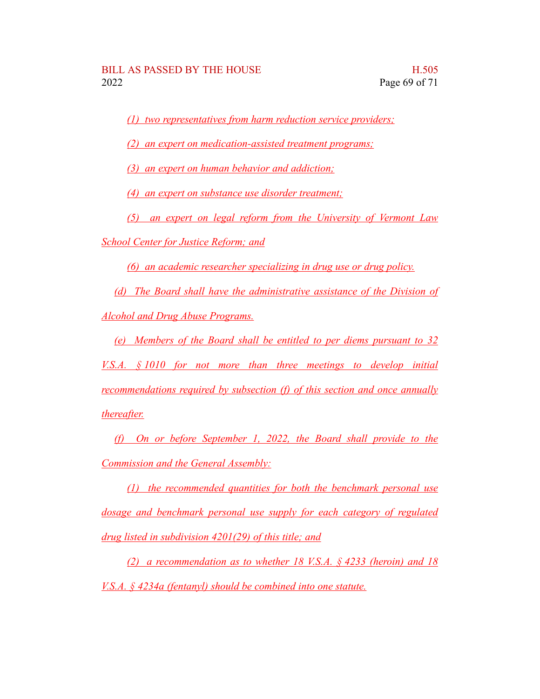*(1) two representatives from harm reduction service providers;*

*(2) an expert on medication-assisted treatment programs;*

*(3) an expert on human behavior and addiction;*

*(4) an expert on substance use disorder treatment;*

*(5) an expert on legal reform from the University of Vermont Law*

*School Center for Justice Reform; and*

*(6) an academic researcher specializing in drug use or drug policy.*

*(d) The Board shall have the administrative assistance of the Division of Alcohol and Drug Abuse Programs.*

*(e) Members of the Board shall be entitled to per diems pursuant to 32 V.S.A. § 1010 for not more than three meetings to develop initial recommendations required by subsection (f) of this section and once annually thereafter.*

*(f) On or before September 1, 2022, the Board shall provide to the Commission and the General Assembly:*

*(1) the recommended quantities for both the benchmark personal use dosage and benchmark personal use supply for each category of regulated drug listed in subdivision 4201(29) of this title; and*

*(2) a recommendation as to whether 18 V.S.A. § 4233 (heroin) and 18 V.S.A. § 4234a (fentanyl) should be combined into one statute.*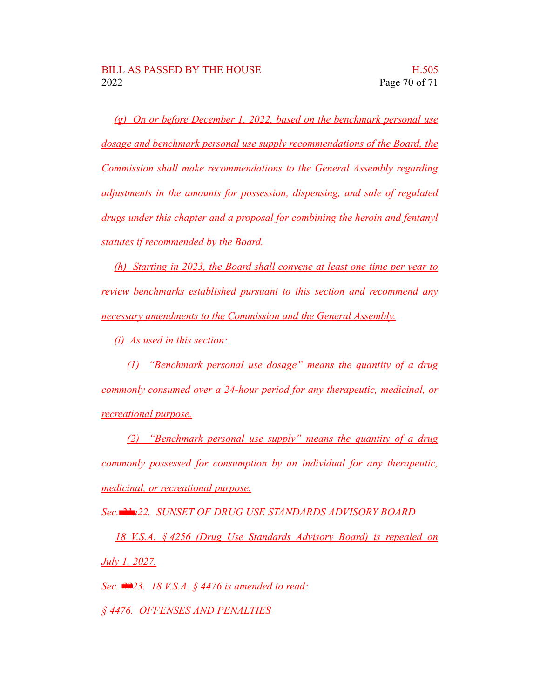*(g) On or before December 1, 2022, based on the benchmark personal use dosage and benchmark personal use supply recommendations of the Board, the Commission shall make recommendations to the General Assembly regarding adjustments in the amounts for possession, dispensing, and sale of regulated drugs under this chapter and a proposal for combining the heroin and fentanyl statutes if recommended by the Board.*

*(h) Starting in 2023, the Board shall convene at least one time per year to review benchmarks established pursuant to this section and recommend any necessary amendments to the Commission and the General Assembly.*

*(i) As used in this section:*

*(1) "Benchmark personal use dosage" means the quantity of a drug commonly consumed over a 24-hour period for any therapeutic, medicinal, or recreational purpose.*

*(2) "Benchmark personal use supply" means the quantity of a drug commonly possessed for consumption by an individual for any therapeutic, medicinal, or recreational purpose.*

*Sec. 21a22. SUNSET OF DRUG USE STANDARDS ADVISORY BOARD*

*18 V.S.A. § 4256 (Drug Use Standards Advisory Board) is repealed on July 1, 2027.*

*Sec. 2223. 18 V.S.A. § 4476 is amended to read:*

*§ 4476. OFFENSES AND PENALTIES*